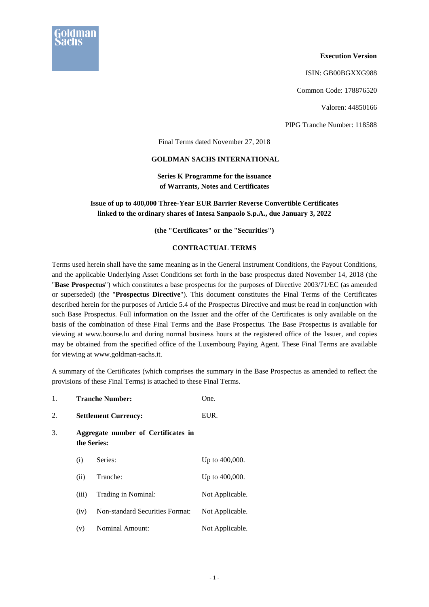

## **Execution Version**

ISIN: GB00BGXXG988

Common Code: 178876520

Valoren: 44850166

PIPG Tranche Number: 118588

Final Terms dated November 27, 2018

## **GOLDMAN SACHS INTERNATIONAL**

**Series K Programme for the issuance of Warrants, Notes and Certificates** 

## **Issue of up to 400,000 Three-Year EUR Barrier Reverse Convertible Certificates linked to the ordinary shares of Intesa Sanpaolo S.p.A., due January 3, 2022**

**(the "Certificates" or the "Securities")** 

## **CONTRACTUAL TERMS**

Terms used herein shall have the same meaning as in the General Instrument Conditions, the Payout Conditions, and the applicable Underlying Asset Conditions set forth in the base prospectus dated November 14, 2018 (the "**Base Prospectus**") which constitutes a base prospectus for the purposes of Directive 2003/71/EC (as amended or superseded) (the "**Prospectus Directive**"). This document constitutes the Final Terms of the Certificates described herein for the purposes of Article 5.4 of the Prospectus Directive and must be read in conjunction with such Base Prospectus. Full information on the Issuer and the offer of the Certificates is only available on the basis of the combination of these Final Terms and the Base Prospectus. The Base Prospectus is available for viewing at www.bourse.lu and during normal business hours at the registered office of the Issuer, and copies may be obtained from the specified office of the Luxembourg Paying Agent. These Final Terms are available for viewing at www.goldman-sachs.it.

A summary of the Certificates (which comprises the summary in the Base Prospectus as amended to reflect the provisions of these Final Terms) is attached to these Final Terms.

1. **Tranche Number:** One. 2. **Settlement Currency:** EUR. 3. **Aggregate number of Certificates in the Series:**  (i) Series: Up to 400,000. (ii) Tranche: Up to 400,000. (iii) Trading in Nominal: Not Applicable. (iv) Non-standard Securities Format: Not Applicable. (v) Nominal Amount: Not Applicable.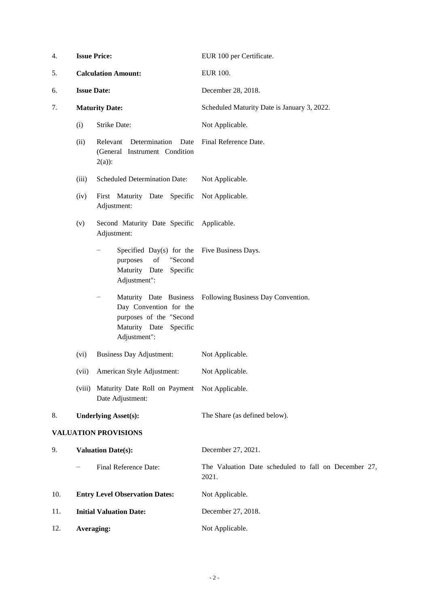| 4.  | <b>Issue Price:</b><br><b>Calculation Amount:</b><br><b>Issue Date:</b> |                                                                                                                                            | EUR 100 per Certificate.<br><b>EUR 100.</b><br>December 28, 2018. |  |
|-----|-------------------------------------------------------------------------|--------------------------------------------------------------------------------------------------------------------------------------------|-------------------------------------------------------------------|--|
| 5.  |                                                                         |                                                                                                                                            |                                                                   |  |
| 6.  |                                                                         |                                                                                                                                            |                                                                   |  |
| 7.  |                                                                         | <b>Maturity Date:</b>                                                                                                                      | Scheduled Maturity Date is January 3, 2022.                       |  |
|     | (i)                                                                     | Strike Date:                                                                                                                               | Not Applicable.                                                   |  |
|     | (ii)                                                                    | Determination<br>Relevant<br>Date<br>(General Instrument Condition<br>$2(a)$ :                                                             | Final Reference Date.                                             |  |
|     | (iii)                                                                   | <b>Scheduled Determination Date:</b>                                                                                                       | Not Applicable.                                                   |  |
|     | (iv)                                                                    | First Maturity Date<br>Specific<br>Adjustment:                                                                                             | Not Applicable.                                                   |  |
|     | (v)                                                                     | Second Maturity Date Specific<br>Adjustment:                                                                                               | Applicable.                                                       |  |
|     |                                                                         | Specified Day(s) for the<br>of<br>"Second<br>purposes<br>Maturity Date<br>Specific<br>Adjustment":                                         | Five Business Days.                                               |  |
|     |                                                                         | Maturity Date Business<br>$\qquad \qquad -$<br>Day Convention for the<br>purposes of the "Second<br>Maturity Date Specific<br>Adjustment": | Following Business Day Convention.                                |  |
|     | (vi)                                                                    | <b>Business Day Adjustment:</b>                                                                                                            | Not Applicable.                                                   |  |
|     | (vii)                                                                   | American Style Adjustment:                                                                                                                 | Not Applicable.                                                   |  |
|     | (viii)                                                                  | Maturity Date Roll on Payment Not Applicable.<br>Date Adjustment:                                                                          |                                                                   |  |
| 8.  |                                                                         | <b>Underlying Asset(s):</b>                                                                                                                | The Share (as defined below).                                     |  |
|     |                                                                         | <b>VALUATION PROVISIONS</b>                                                                                                                |                                                                   |  |
| 9.  |                                                                         | <b>Valuation Date(s):</b>                                                                                                                  | December 27, 2021.                                                |  |
|     |                                                                         | Final Reference Date:                                                                                                                      | The Valuation Date scheduled to fall on December 27,<br>2021.     |  |
| 10. |                                                                         | <b>Entry Level Observation Dates:</b>                                                                                                      | Not Applicable.                                                   |  |
| 11. |                                                                         | <b>Initial Valuation Date:</b>                                                                                                             | December 27, 2018.                                                |  |
| 12. | Averaging:                                                              |                                                                                                                                            | Not Applicable.                                                   |  |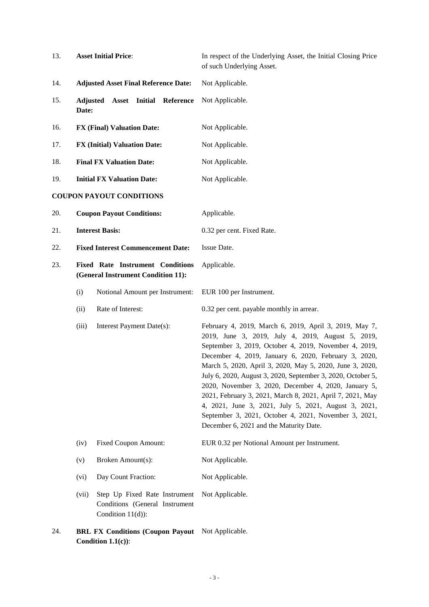| 13. | <b>Asset Initial Price:</b>                                                   |                                                                                        | In respect of the Underlying Asset, the Initial Closing Price<br>of such Underlying Asset.                                                                                                                                                                                                                                                                                                                                                                                                                                                                                                                                               |  |
|-----|-------------------------------------------------------------------------------|----------------------------------------------------------------------------------------|------------------------------------------------------------------------------------------------------------------------------------------------------------------------------------------------------------------------------------------------------------------------------------------------------------------------------------------------------------------------------------------------------------------------------------------------------------------------------------------------------------------------------------------------------------------------------------------------------------------------------------------|--|
| 14. |                                                                               | <b>Adjusted Asset Final Reference Date:</b>                                            | Not Applicable.                                                                                                                                                                                                                                                                                                                                                                                                                                                                                                                                                                                                                          |  |
| 15. | Adjusted<br>Date:                                                             | <b>Asset</b> Initial<br>Reference                                                      | Not Applicable.                                                                                                                                                                                                                                                                                                                                                                                                                                                                                                                                                                                                                          |  |
| 16. |                                                                               | <b>FX (Final) Valuation Date:</b>                                                      | Not Applicable.                                                                                                                                                                                                                                                                                                                                                                                                                                                                                                                                                                                                                          |  |
| 17. |                                                                               | <b>FX (Initial) Valuation Date:</b>                                                    | Not Applicable.                                                                                                                                                                                                                                                                                                                                                                                                                                                                                                                                                                                                                          |  |
| 18. |                                                                               | <b>Final FX Valuation Date:</b>                                                        | Not Applicable.                                                                                                                                                                                                                                                                                                                                                                                                                                                                                                                                                                                                                          |  |
| 19. |                                                                               | <b>Initial FX Valuation Date:</b>                                                      | Not Applicable.                                                                                                                                                                                                                                                                                                                                                                                                                                                                                                                                                                                                                          |  |
|     |                                                                               | <b>COUPON PAYOUT CONDITIONS</b>                                                        |                                                                                                                                                                                                                                                                                                                                                                                                                                                                                                                                                                                                                                          |  |
| 20. |                                                                               | <b>Coupon Payout Conditions:</b>                                                       | Applicable.                                                                                                                                                                                                                                                                                                                                                                                                                                                                                                                                                                                                                              |  |
| 21. |                                                                               | <b>Interest Basis:</b>                                                                 | 0.32 per cent. Fixed Rate.                                                                                                                                                                                                                                                                                                                                                                                                                                                                                                                                                                                                               |  |
| 22. |                                                                               | <b>Fixed Interest Commencement Date:</b>                                               | Issue Date.                                                                                                                                                                                                                                                                                                                                                                                                                                                                                                                                                                                                                              |  |
| 23. | <b>Fixed Rate Instrument Conditions</b><br>(General Instrument Condition 11): |                                                                                        | Applicable.                                                                                                                                                                                                                                                                                                                                                                                                                                                                                                                                                                                                                              |  |
|     | (i)                                                                           | Notional Amount per Instrument:                                                        | EUR 100 per Instrument.                                                                                                                                                                                                                                                                                                                                                                                                                                                                                                                                                                                                                  |  |
|     | (ii)                                                                          | Rate of Interest:                                                                      | 0.32 per cent. payable monthly in arrear.                                                                                                                                                                                                                                                                                                                                                                                                                                                                                                                                                                                                |  |
|     | (iii)                                                                         | Interest Payment Date(s):                                                              | February 4, 2019, March 6, 2019, April 3, 2019, May 7,<br>2019, June 3, 2019, July 4, 2019, August 5, 2019,<br>September 3, 2019, October 4, 2019, November 4, 2019,<br>December 4, 2019, January 6, 2020, February 3, 2020,<br>March 5, 2020, April 3, 2020, May 5, 2020, June 3, 2020,<br>July 6, 2020, August 3, 2020, September 3, 2020, October 5,<br>2020, November 3, 2020, December 4, 2020, January 5,<br>2021, February 3, 2021, March 8, 2021, April 7, 2021, May<br>4, 2021, June 3, 2021, July 5, 2021, August 3, 2021,<br>September 3, 2021, October 4, 2021, November 3, 2021,<br>December 6, 2021 and the Maturity Date. |  |
|     | (iv)                                                                          | <b>Fixed Coupon Amount:</b>                                                            | EUR 0.32 per Notional Amount per Instrument.                                                                                                                                                                                                                                                                                                                                                                                                                                                                                                                                                                                             |  |
|     | (v)                                                                           | Broken Amount(s):                                                                      | Not Applicable.                                                                                                                                                                                                                                                                                                                                                                                                                                                                                                                                                                                                                          |  |
|     | (vi)                                                                          | Day Count Fraction:                                                                    | Not Applicable.                                                                                                                                                                                                                                                                                                                                                                                                                                                                                                                                                                                                                          |  |
|     | (vii)                                                                         | Step Up Fixed Rate Instrument<br>Conditions (General Instrument<br>Condition $11(d)$ : | Not Applicable.                                                                                                                                                                                                                                                                                                                                                                                                                                                                                                                                                                                                                          |  |
| 24. |                                                                               | <b>BRL FX Conditions (Coupon Payout</b>                                                | Not Applicable.                                                                                                                                                                                                                                                                                                                                                                                                                                                                                                                                                                                                                          |  |

**Condition 1.1(c))**: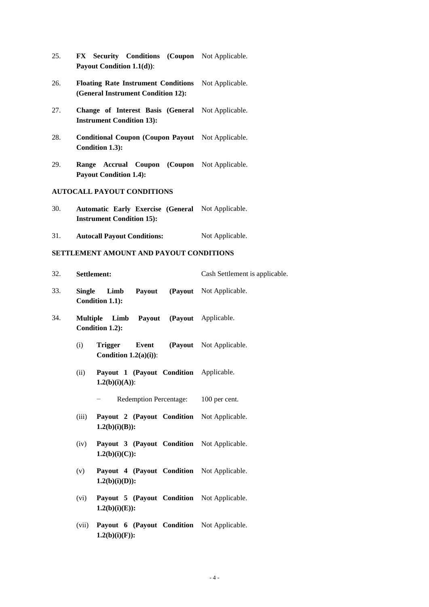- 25. **FX Security Conditions (Coupon**  Not Applicable. **Payout Condition 1.1(d))**:
- 26. **Floating Rate Instrument Conditions**  Not Applicable. **(General Instrument Condition 12):**
- 27. **Change of Interest Basis (General**  Not Applicable. **Instrument Condition 13):**
- 28. **Conditional Coupon (Coupon Payout**  Not Applicable. **Condition 1.3):**
- 29. **Range Accrual Coupon (Coupon**  Not Applicable. **Payout Condition 1.4):**

## **AUTOCALL PAYOUT CONDITIONS**

**1.2(b)(i)(F)):** 

| 30. |                                 |  | Automatic Early Exercise (General Not Applicable. |
|-----|---------------------------------|--|---------------------------------------------------|
|     | <b>Instrument Condition 15:</b> |  |                                                   |

31. **Autocall Payout Conditions:** Not Applicable.

## **SETTLEMENT AMOUNT AND PAYOUT CONDITIONS**

| 32. |                 | Settlement:                                                     | Cash Settlement is applicable.        |
|-----|-----------------|-----------------------------------------------------------------|---------------------------------------|
| 33. |                 | Single Limb Payout (Payout Not Applicable.<br>Condition 1.1):   |                                       |
| 34. | <b>Multiple</b> | Limb Payout (Payout Applicable.<br>Condition 1.2):              |                                       |
|     | (i)             | <b>Trigger</b><br>Condition $1.2(a)(i)$ :                       | <b>Event</b> (Payout Not Applicable.) |
|     | (ii)            | Payout 1 (Payout Condition Applicable.<br>$1.2(b)(i)(A))$ :     |                                       |
|     |                 | Redemption Percentage: 100 per cent.                            |                                       |
|     | (iii)           | Payout 2 (Payout Condition Not Applicable.<br>$1.2(b)(i)(B))$ : |                                       |
|     | (iv)            | Payout 3 (Payout Condition Not Applicable.<br>$1.2(b)(i)(C)$ :  |                                       |
|     | (v)             | Payout 4 (Payout Condition Not Applicable.<br>$1.2(b)(i)(D))$ : |                                       |
|     | (vi)            | Payout 5 (Payout Condition Not Applicable.<br>$1.2(b)(i)(E)$ :  |                                       |
|     | (vii)           | Payout 6 (Payout Condition Not Applicable.                      |                                       |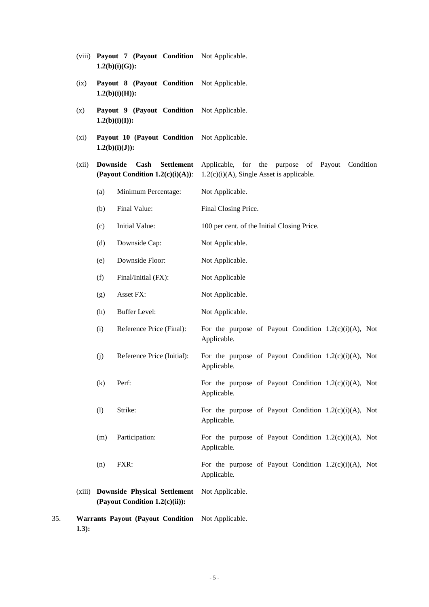|     |                                                               | $1.2(b)(i)(G)$ : |                                                                       |                                                                                                       |
|-----|---------------------------------------------------------------|------------------|-----------------------------------------------------------------------|-------------------------------------------------------------------------------------------------------|
|     | (ix)                                                          |                  | Payout 8 (Payout Condition Not Applicable.<br>$1.2(b)(i)(H))$ :       |                                                                                                       |
|     | (x)                                                           |                  | Payout 9 (Payout Condition<br>$1.2(b)(i)(I))$ :                       | Not Applicable.                                                                                       |
|     | $(x_i)$                                                       |                  | Payout 10 (Payout Condition<br>$1.2(b)(i)(J))$ :                      | Not Applicable.                                                                                       |
|     | (xii)                                                         | <b>Downside</b>  | Cash<br><b>Settlement</b><br>(Payout Condition $1.2(c)(i)(A))$ :      | Applicable, for the purpose<br>of Payout<br>Condition<br>$1.2(c)(i)(A)$ , Single Asset is applicable. |
|     |                                                               | (a)              | Minimum Percentage:                                                   | Not Applicable.                                                                                       |
|     |                                                               | (b)              | Final Value:                                                          | Final Closing Price.                                                                                  |
|     |                                                               | (c)              | Initial Value:                                                        | 100 per cent. of the Initial Closing Price.                                                           |
|     |                                                               | (d)              | Downside Cap:                                                         | Not Applicable.                                                                                       |
|     |                                                               | (e)              | Downside Floor:                                                       | Not Applicable.                                                                                       |
|     |                                                               | (f)              | Final/Initial (FX):                                                   | Not Applicable                                                                                        |
|     |                                                               | (g)              | Asset FX:                                                             | Not Applicable.                                                                                       |
|     |                                                               | (h)              | <b>Buffer Level:</b>                                                  | Not Applicable.                                                                                       |
|     |                                                               | (i)              | Reference Price (Final):                                              | For the purpose of Payout Condition $1.2(c)(i)(A)$ , Not<br>Applicable.                               |
|     |                                                               | (j)              | Reference Price (Initial):                                            | For the purpose of Payout Condition $1.2(c)(i)(A)$ , Not<br>Applicable.                               |
|     |                                                               | (k)              | Perf:                                                                 | For the purpose of Payout Condition $1.2(c)(i)(A)$ , Not<br>Applicable.                               |
|     |                                                               | (1)              | Strike:                                                               | For the purpose of Payout Condition $1.2(c)(i)(A)$ , Not<br>Applicable.                               |
|     |                                                               | (m)              | Participation:                                                        | For the purpose of Payout Condition $1.2(c)(i)(A)$ , Not<br>Applicable.                               |
|     |                                                               | (n)              | FXR:                                                                  | For the purpose of Payout Condition $1.2(c)(i)(A)$ , Not<br>Applicable.                               |
|     | (xiii)                                                        |                  | <b>Downside Physical Settlement</b><br>(Payout Condition 1.2(c)(ii)): | Not Applicable.                                                                                       |
| 35. | Warrants Payout (Payout Condition Not Applicable.<br>$1.3)$ : |                  |                                                                       |                                                                                                       |

(viii) **Payout 7 (Payout Condition**  Not Applicable.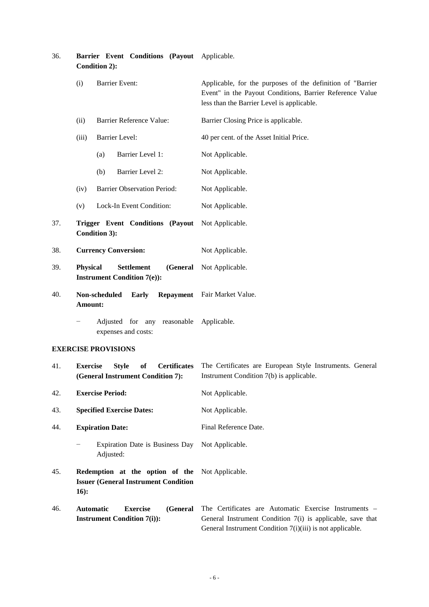| 36. | Barrier Event Conditions (Payout Applicable.<br>Condition 2):                                          |                                                                                                                                                                                  |  |
|-----|--------------------------------------------------------------------------------------------------------|----------------------------------------------------------------------------------------------------------------------------------------------------------------------------------|--|
|     | (i)<br><b>Barrier Event:</b>                                                                           | Applicable, for the purposes of the definition of "Barrier"<br>Event" in the Payout Conditions, Barrier Reference Value<br>less than the Barrier Level is applicable.            |  |
|     | Barrier Reference Value:<br>(ii)                                                                       | Barrier Closing Price is applicable.                                                                                                                                             |  |
|     | <b>Barrier Level:</b><br>(iii)                                                                         | 40 per cent. of the Asset Initial Price.                                                                                                                                         |  |
|     | Barrier Level 1:<br>(a)                                                                                | Not Applicable.                                                                                                                                                                  |  |
|     | Barrier Level 2:<br>(b)                                                                                | Not Applicable.                                                                                                                                                                  |  |
|     | <b>Barrier Observation Period:</b><br>(iv)                                                             | Not Applicable.                                                                                                                                                                  |  |
|     | Lock-In Event Condition:<br>(v)                                                                        | Not Applicable.                                                                                                                                                                  |  |
| 37. | Trigger Event Conditions (Payout<br>Condition 3):                                                      | Not Applicable.                                                                                                                                                                  |  |
| 38. | <b>Currency Conversion:</b>                                                                            | Not Applicable.                                                                                                                                                                  |  |
| 39. | <b>Physical</b><br><b>Settlement</b><br>(General<br><b>Instrument Condition 7(e)):</b>                 | Not Applicable.                                                                                                                                                                  |  |
| 40. | Non-scheduled<br><b>Early</b><br>Amount:                                                               | Repayment Fair Market Value.                                                                                                                                                     |  |
|     | Adjusted for any reasonable Applicable.<br>expenses and costs:                                         |                                                                                                                                                                                  |  |
|     | <b>EXERCISE PROVISIONS</b>                                                                             |                                                                                                                                                                                  |  |
| 41. | <b>Exercise</b><br><b>Certificates</b><br><b>Style</b><br>of<br>(General Instrument Condition 7):      | The Certificates are European Style Instruments. General<br>Instrument Condition 7(b) is applicable.                                                                             |  |
| 42. | <b>Exercise Period:</b>                                                                                | Not Applicable.                                                                                                                                                                  |  |
| 43. | <b>Specified Exercise Dates:</b>                                                                       | Not Applicable.                                                                                                                                                                  |  |
| 44. | <b>Expiration Date:</b>                                                                                | Final Reference Date.                                                                                                                                                            |  |
|     | Expiration Date is Business Day<br>$\qquad \qquad -$<br>Adjusted:                                      | Not Applicable.                                                                                                                                                                  |  |
| 45. | Redemption at the option of the Not Applicable.<br><b>Issuer (General Instrument Condition</b><br>16): |                                                                                                                                                                                  |  |
| 46. | <b>Exercise</b><br><b>Automatic</b><br>(General<br><b>Instrument Condition 7(i)):</b>                  | The Certificates are Automatic Exercise Instruments -<br>General Instrument Condition 7(i) is applicable, save that<br>General Instrument Condition 7(i)(iii) is not applicable. |  |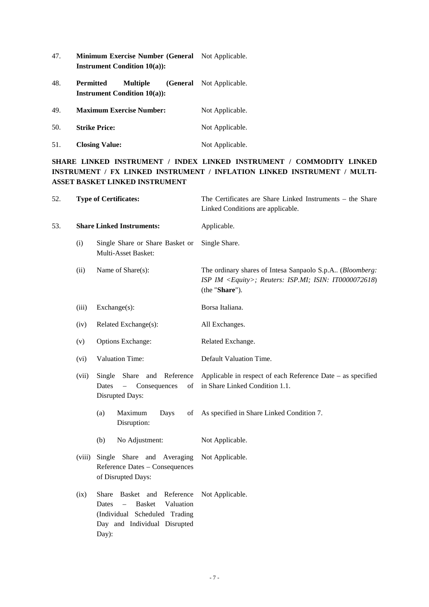- 47. **Minimum Exercise Number (General**  Not Applicable. **Instrument Condition 10(a)):**
- 48. **Permitted Multiple Instrument Condition 10(a)):**  (General Not Applicable.
- 49. **Maximum Exercise Number:** Not Applicable. 50. **Strike Price:** Not Applicable.
- 51. **Closing Value:** Not Applicable.

## **SHARE LINKED INSTRUMENT / INDEX LINKED INSTRUMENT / COMMODITY LINKED INSTRUMENT / FX LINKED INSTRUMENT / INFLATION LINKED INSTRUMENT / MULTI-ASSET BASKET LINKED INSTRUMENT**

| 52. | <b>Type of Certificates:</b>                                                                                                                                       |                                                                                    | The Certificates are Share Linked Instruments - the Share<br>Linked Conditions are applicable.                                                |  |
|-----|--------------------------------------------------------------------------------------------------------------------------------------------------------------------|------------------------------------------------------------------------------------|-----------------------------------------------------------------------------------------------------------------------------------------------|--|
| 53. |                                                                                                                                                                    | <b>Share Linked Instruments:</b>                                                   | Applicable.                                                                                                                                   |  |
|     | (i)<br>Single Share or Share Basket or<br>Multi-Asset Basket:                                                                                                      |                                                                                    | Single Share.                                                                                                                                 |  |
|     | (ii)                                                                                                                                                               | Name of Share(s):                                                                  | The ordinary shares of Intesa Sanpaolo S.p.A (Bloomberg:<br>ISP IM <equity>; Reuters: ISP.MI; ISIN: IT0000072618)<br/>(the "Share").</equity> |  |
|     | (iii)                                                                                                                                                              | $Exchange(s)$ :                                                                    | Borsa Italiana.                                                                                                                               |  |
|     | (iv)                                                                                                                                                               | Related Exchange(s):                                                               | All Exchanges.                                                                                                                                |  |
|     | (v)                                                                                                                                                                | <b>Options Exchange:</b>                                                           | Related Exchange.                                                                                                                             |  |
|     | Valuation Time:<br>(vi)<br>Share and Reference<br>(vii)<br>Single<br>Dates<br>Consequences<br>of<br>$\overline{\phantom{0}}$<br>Disrupted Days:                    |                                                                                    | Default Valuation Time.                                                                                                                       |  |
|     |                                                                                                                                                                    |                                                                                    | Applicable in respect of each Reference Date – as specified<br>in Share Linked Condition 1.1.                                                 |  |
|     |                                                                                                                                                                    | Maximum<br>(a)<br>Days<br>of<br>Disruption:                                        | As specified in Share Linked Condition 7.                                                                                                     |  |
|     |                                                                                                                                                                    | No Adjustment:<br>(b)                                                              | Not Applicable.                                                                                                                               |  |
|     | (viii)                                                                                                                                                             | Single Share and Averaging<br>Reference Dates - Consequences<br>of Disrupted Days: | Not Applicable.                                                                                                                               |  |
|     | Basket and Reference<br>(ix)<br>Share<br>$\equiv$<br><b>Basket</b><br>Valuation<br>Dates<br>(Individual Scheduled Trading<br>Day and Individual Disrupted<br>Day): |                                                                                    | Not Applicable.                                                                                                                               |  |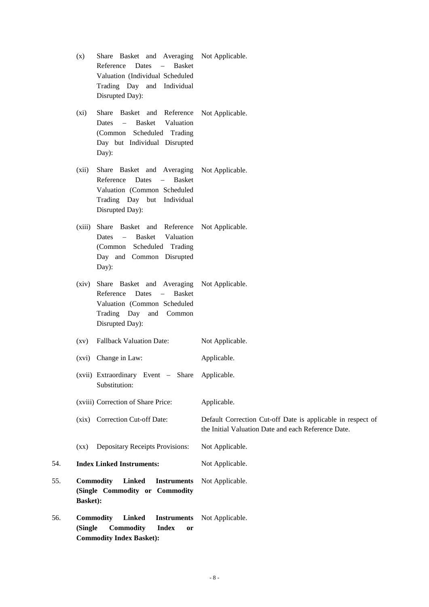|     | (x)                              | Share Basket and Averaging<br>$\sim$<br>Reference<br><b>Basket</b><br>Dates<br>Valuation (Individual Scheduled<br>Trading Day and Individual<br>Disrupted Day):               | Not Applicable.                                                                                                    |
|-----|----------------------------------|-------------------------------------------------------------------------------------------------------------------------------------------------------------------------------|--------------------------------------------------------------------------------------------------------------------|
|     | (xi)                             | Share Basket and Reference<br><b>Basket</b><br>Valuation<br><b>Dates</b><br>$ \,$<br>(Common Scheduled Trading<br>Day but Individual Disrupted<br>Day):                       | Not Applicable.                                                                                                    |
|     | (xii)                            | Share Basket and Averaging<br>Reference<br>Dates<br><b>Basket</b><br>$\overline{\phantom{0}}$<br>Valuation (Common Scheduled<br>Trading Day but Individual<br>Disrupted Day): | Not Applicable.                                                                                                    |
|     | (xiii)                           | Share Basket and Reference<br><b>Basket</b><br>Valuation<br>Dates<br>$ \,$<br>(Common Scheduled Trading<br>Day and Common Disrupted<br>Day):                                  | Not Applicable.                                                                                                    |
|     | (xiv)                            | Share Basket and Averaging<br>Reference<br><b>Basket</b><br>Dates<br>$-$<br>Valuation (Common Scheduled<br>Trading Day<br>and Common<br>Disrupted Day):                       | Not Applicable.                                                                                                    |
|     | $\left( xy\right)$               | <b>Fallback Valuation Date:</b>                                                                                                                                               | Not Applicable.                                                                                                    |
|     |                                  | (xvi) Change in Law:                                                                                                                                                          | Applicable.                                                                                                        |
|     |                                  | (xvii) Extraordinary Event - Share<br>Substitution:                                                                                                                           | Applicable.                                                                                                        |
|     |                                  | (xviii) Correction of Share Price:                                                                                                                                            | Applicable.                                                                                                        |
|     |                                  | (xix) Correction Cut-off Date:                                                                                                                                                | Default Correction Cut-off Date is applicable in respect of<br>the Initial Valuation Date and each Reference Date. |
|     | $\left( xx\right)$               | Depositary Receipts Provisions:                                                                                                                                               | Not Applicable.                                                                                                    |
| 54. | <b>Index Linked Instruments:</b> |                                                                                                                                                                               | Not Applicable.                                                                                                    |
| 55. | <b>Basket:</b>                   | <b>Commodity</b><br><b>Linked</b><br><b>Instruments</b><br>(Single Commodity or Commodity                                                                                     | Not Applicable.                                                                                                    |
| 56. | (Single                          | <b>Commodity</b><br><b>Linked</b><br><b>Instruments</b><br>Commodity<br><b>Index</b><br><b>or</b><br><b>Commodity Index Basket):</b>                                          | Not Applicable.                                                                                                    |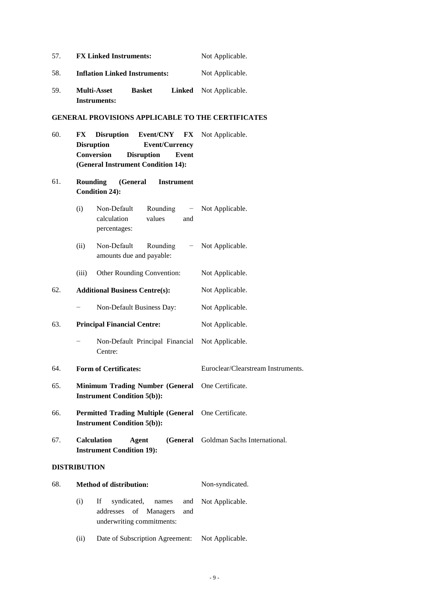| 57. | <b>FX Linked Instruments:</b>                                                                                                                                                                  | Not Applicable.                    |
|-----|------------------------------------------------------------------------------------------------------------------------------------------------------------------------------------------------|------------------------------------|
| 58. | <b>Inflation Linked Instruments:</b>                                                                                                                                                           | Not Applicable.                    |
| 59. | <b>Multi-Asset</b><br><b>Basket</b><br>Linked<br><b>Instruments:</b>                                                                                                                           | Not Applicable.                    |
|     | <b>GENERAL PROVISIONS APPLICABLE TO THE CERTIFICATES</b>                                                                                                                                       |                                    |
| 60. | <b>Disruption</b><br>Event/CNY<br>FX<br>$\mathbf{F}\mathbf{X}$<br><b>Disruption</b><br><b>Event/Currency</b><br>Conversion<br><b>Disruption</b><br>Event<br>(General Instrument Condition 14): | Not Applicable.                    |
| 61. | (General<br><b>Rounding</b><br><b>Instrument</b><br><b>Condition 24):</b>                                                                                                                      |                                    |
|     | (i)<br>Non-Default<br>Rounding<br>calculation<br>values<br>and<br>percentages:                                                                                                                 | - Not Applicable.                  |
|     | Non-Default<br>Rounding<br>(ii)<br>$-$<br>amounts due and payable:                                                                                                                             | Not Applicable.                    |
|     | Other Rounding Convention:<br>(iii)                                                                                                                                                            | Not Applicable.                    |
| 62. | <b>Additional Business Centre(s):</b>                                                                                                                                                          | Not Applicable.                    |
|     | Non-Default Business Day:<br>-                                                                                                                                                                 | Not Applicable.                    |
| 63. | <b>Principal Financial Centre:</b>                                                                                                                                                             | Not Applicable.                    |
|     | Non-Default Principal Financial<br>Centre:                                                                                                                                                     | Not Applicable.                    |
| 64. | <b>Form of Certificates:</b>                                                                                                                                                                   | Euroclear/Clearstream Instruments. |
| 65. | Minimum Trading Number (General One Certificate.<br><b>Instrument Condition 5(b)):</b>                                                                                                         |                                    |
| 66. | <b>Permitted Trading Multiple (General</b><br><b>Instrument Condition 5(b)):</b>                                                                                                               | One Certificate.                   |
| 67. | <b>Calculation</b><br><b>Agent</b><br>(General<br><b>Instrument Condition 19):</b>                                                                                                             | Goldman Sachs International.       |
|     | <b>DISTRIBUTION</b>                                                                                                                                                                            |                                    |
| 68. | <b>Method of distribution:</b>                                                                                                                                                                 | Non-syndicated.                    |
|     | syndicated,<br>(i)<br>If<br>names<br>and<br>of<br>addresses<br>Managers<br>and<br>underwriting commitments:                                                                                    | Not Applicable.                    |

(ii) Date of Subscription Agreement: Not Applicable.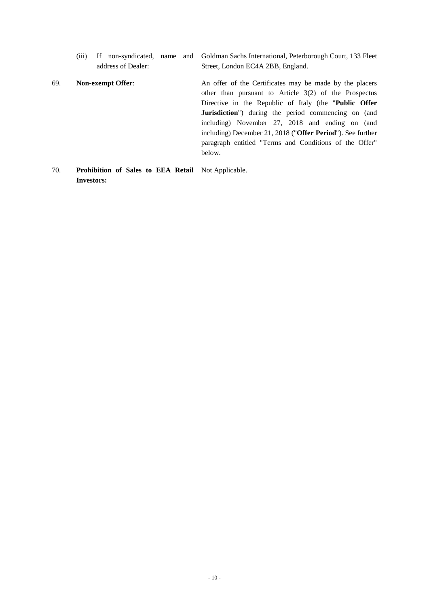- (iii) If non-syndicated, name and address of Dealer: Goldman Sachs International, Peterborough Court, 133 Fleet Street, London EC4A 2BB, England.
- 69. **Non-exempt Offer**: An offer of the Certificates may be made by the placers other than pursuant to Article 3(2) of the Prospectus Directive in the Republic of Italy (the "**Public Offer Jurisdiction**") during the period commencing on (and including) November 27, 2018 and ending on (and including) December 21, 2018 ("**Offer Period**"). See further paragraph entitled "Terms and Conditions of the Offer" below.

## 70. **Prohibition of Sales to EEA Retail**  Not Applicable. **Investors:**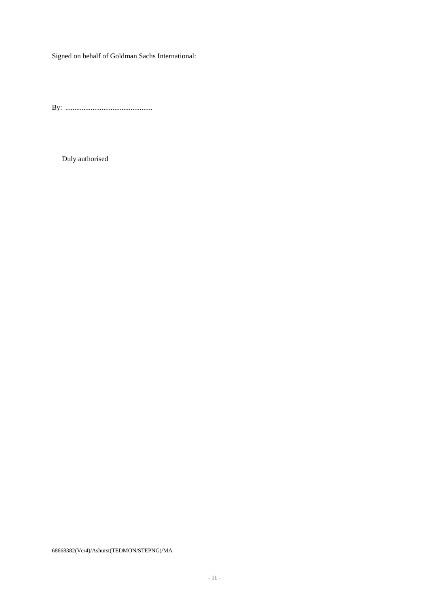Signed on behalf of Goldman Sachs International:

By: ................................................

Duly authorised

68668382(Ver4)/Ashurst(TEDMON/STEPNG)/MA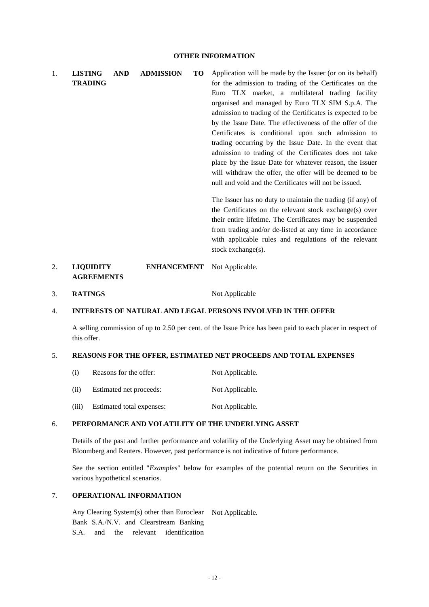1. **LISTING AND ADMISSION TO TRADING**  Application will be made by the Issuer (or on its behalf) for the admission to trading of the Certificates on the Euro TLX market, a multilateral trading facility organised and managed by Euro TLX SIM S.p.A. The admission to trading of the Certificates is expected to be by the Issue Date. The effectiveness of the offer of the Certificates is conditional upon such admission to trading occurring by the Issue Date. In the event that admission to trading of the Certificates does not take place by the Issue Date for whatever reason, the Issuer will withdraw the offer, the offer will be deemed to be null and void and the Certificates will not be issued. The Issuer has no duty to maintain the trading (if any) of the Certificates on the relevant stock exchange(s) over

their entire lifetime. The Certificates may be suspended from trading and/or de-listed at any time in accordance with applicable rules and regulations of the relevant stock exchange(s).

#### 2. **LIQUIDITY ENHANCEMENT AGREEMENTS**  Not Applicable.

3. **RATINGS** Not Applicable

## 4. **INTERESTS OF NATURAL AND LEGAL PERSONS INVOLVED IN THE OFFER**

A selling commission of up to 2.50 per cent. of the Issue Price has been paid to each placer in respect of this offer.

## 5. **REASONS FOR THE OFFER, ESTIMATED NET PROCEEDS AND TOTAL EXPENSES**

(i) Reasons for the offer: Not Applicable. (ii) Estimated net proceeds: Not Applicable. (iii) Estimated total expenses: Not Applicable.

## 6. **PERFORMANCE AND VOLATILITY OF THE UNDERLYING ASSET**

Details of the past and further performance and volatility of the Underlying Asset may be obtained from Bloomberg and Reuters. However, past performance is not indicative of future performance.

See the section entitled "*Examples*" below for examples of the potential return on the Securities in various hypothetical scenarios.

## 7. **OPERATIONAL INFORMATION**

Any Clearing System(s) other than Euroclear Not Applicable. Bank S.A./N.V. and Clearstream Banking S.A. and the relevant identification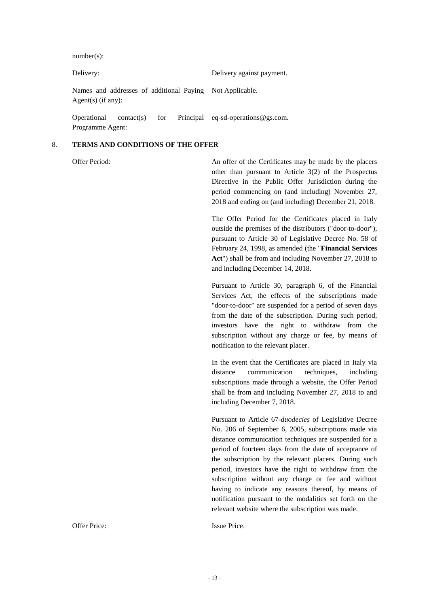number(s):

| Delivery:                       |  |  |  | Delivery against payment.                                |
|---------------------------------|--|--|--|----------------------------------------------------------|
| Agent(s) (if any):              |  |  |  | Names and addresses of additional Paying Not Applicable. |
| Operational<br>Programme Agent: |  |  |  | contact(s) for Principal eq-sd-operations $@$ gs.com.    |

## 8. **TERMS AND CONDITIONS OF THE OFFER**

Offer Period: An offer of the Certificates may be made by the placers other than pursuant to Article 3(2) of the Prospectus Directive in the Public Offer Jurisdiction during the period commencing on (and including) November 27, 2018 and ending on (and including) December 21, 2018.

> The Offer Period for the Certificates placed in Italy outside the premises of the distributors ("door-to-door"), pursuant to Article 30 of Legislative Decree No. 58 of February 24, 1998, as amended (the "**Financial Services Act**") shall be from and including November 27, 2018 to and including December 14, 2018.

> Pursuant to Article 30, paragraph 6, of the Financial Services Act, the effects of the subscriptions made "door-to-door" are suspended for a period of seven days from the date of the subscription. During such period, investors have the right to withdraw from the subscription without any charge or fee, by means of notification to the relevant placer.

> In the event that the Certificates are placed in Italy via distance communication techniques, including subscriptions made through a website, the Offer Period shall be from and including November 27, 2018 to and including December 7, 2018.

> Pursuant to Article 67-*duodecies* of Legislative Decree No. 206 of September 6, 2005, subscriptions made via distance communication techniques are suspended for a period of fourteen days from the date of acceptance of the subscription by the relevant placers. During such period, investors have the right to withdraw from the subscription without any charge or fee and without having to indicate any reasons thereof, by means of notification pursuant to the modalities set forth on the relevant website where the subscription was made.

Offer Price: Issue Price.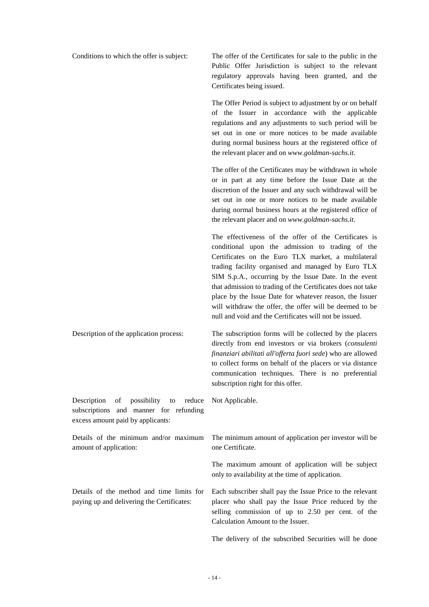Conditions to which the offer is subject: The offer of the Certificates for sale to the public in the Public Offer Jurisdiction is subject to the relevant regulatory approvals having been granted, and the

Certificates being issued.

The Offer Period is subject to adjustment by or on behalf of the Issuer in accordance with the applicable regulations and any adjustments to such period will be set out in one or more notices to be made available during normal business hours at the registered office of the relevant placer and on *www.goldman-sachs.it.*

The offer of the Certificates may be withdrawn in whole or in part at any time before the Issue Date at the discretion of the Issuer and any such withdrawal will be set out in one or more notices to be made available during normal business hours at the registered office of the relevant placer and on *www.goldman-sachs.it*.

The effectiveness of the offer of the Certificates is conditional upon the admission to trading of the Certificates on the Euro TLX market, a multilateral trading facility organised and managed by Euro TLX SIM S.p.A., occurring by the Issue Date. In the event that admission to trading of the Certificates does not take place by the Issue Date for whatever reason, the Issuer will withdraw the offer, the offer will be deemed to be null and void and the Certificates will not be issued.

Description of the application process: The subscription forms will be collected by the placers directly from end investors or via brokers (*consulenti finanziari abilitati all'offerta fuori sede*) who are allowed to collect forms on behalf of the placers or via distance communication techniques. There is no preferential subscription right for this offer.

Not Applicable.

Description of possibility to reduce subscriptions and manner for refunding excess amount paid by applicants:

amount of application:

Details of the minimum and/or maximum The minimum amount of application per investor will be one Certificate.

> The maximum amount of application will be subject only to availability at the time of application.

Details of the method and time limits for paying up and delivering the Certificates:

Each subscriber shall pay the Issue Price to the relevant placer who shall pay the Issue Price reduced by the selling commission of up to 2.50 per cent. of the Calculation Amount to the Issuer.

The delivery of the subscribed Securities will be done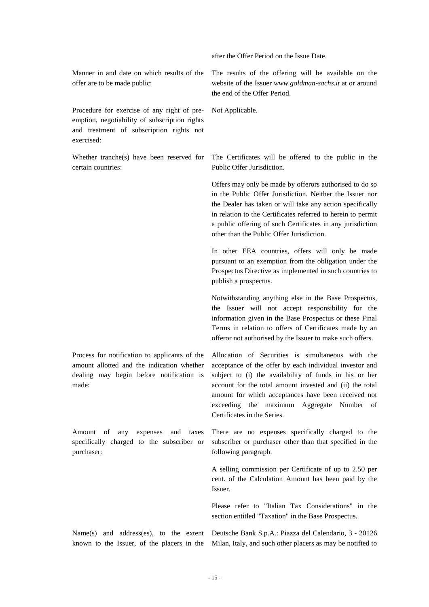after the Offer Period on the Issue Date.

Manner in and date on which results of the offer are to be made public:

Procedure for exercise of any right of preemption, negotiability of subscription rights and treatment of subscription rights not exercised:

Whether tranche(s) have been reserved for certain countries:

Process for notification to applicants of the amount allotted and the indication whether dealing may begin before notification is made:

Amount of any expenses and taxes specifically charged to the subscriber or purchaser:

The results of the offering will be available on the website of the Issuer *www.goldman-sachs.it* at or around the end of the Offer Period.

Not Applicable.

The Certificates will be offered to the public in the Public Offer Jurisdiction.

Offers may only be made by offerors authorised to do so in the Public Offer Jurisdiction. Neither the Issuer nor the Dealer has taken or will take any action specifically in relation to the Certificates referred to herein to permit a public offering of such Certificates in any jurisdiction other than the Public Offer Jurisdiction.

In other EEA countries, offers will only be made pursuant to an exemption from the obligation under the Prospectus Directive as implemented in such countries to publish a prospectus.

Notwithstanding anything else in the Base Prospectus, the Issuer will not accept responsibility for the information given in the Base Prospectus or these Final Terms in relation to offers of Certificates made by an offeror not authorised by the Issuer to make such offers.

Allocation of Securities is simultaneous with the acceptance of the offer by each individual investor and subject to (i) the availability of funds in his or her account for the total amount invested and (ii) the total amount for which acceptances have been received not exceeding the maximum Aggregate Number of Certificates in the Series.

There are no expenses specifically charged to the subscriber or purchaser other than that specified in the following paragraph.

A selling commission per Certificate of up to 2.50 per cent. of the Calculation Amount has been paid by the Issuer.

Please refer to "Italian Tax Considerations" in the section entitled "Taxation" in the Base Prospectus.

Name(s) and address(es), to the extent known to the Issuer, of the placers in the Deutsche Bank S.p.A.: Piazza del Calendario, 3 - 20126 Milan, Italy, and such other placers as may be notified to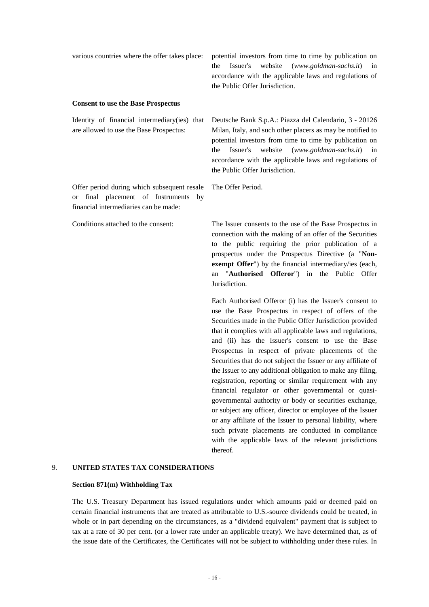| various countries where the offer takes place:                                                                                                | potential investors from time to time by publication on<br>website<br>the<br>Issuer's<br>$(www.goldman-sachs.it)$<br>in<br>accordance with the applicable laws and regulations of<br>the Public Offer Jurisdiction.                                                                                                                                                                                                                                                                                                                                                                                                                                              |
|-----------------------------------------------------------------------------------------------------------------------------------------------|------------------------------------------------------------------------------------------------------------------------------------------------------------------------------------------------------------------------------------------------------------------------------------------------------------------------------------------------------------------------------------------------------------------------------------------------------------------------------------------------------------------------------------------------------------------------------------------------------------------------------------------------------------------|
| <b>Consent to use the Base Prospectus</b>                                                                                                     |                                                                                                                                                                                                                                                                                                                                                                                                                                                                                                                                                                                                                                                                  |
| Identity of financial intermediary(ies) that<br>are allowed to use the Base Prospectus:                                                       | Deutsche Bank S.p.A.: Piazza del Calendario, 3 - 20126<br>Milan, Italy, and such other placers as may be notified to<br>potential investors from time to time by publication on<br>website<br>the<br>Issuer's<br>$(www.goldman-sachs.it)$<br>in<br>accordance with the applicable laws and regulations of<br>the Public Offer Jurisdiction.                                                                                                                                                                                                                                                                                                                      |
| Offer period during which subsequent resale<br>final placement of Instruments<br>by<br><sub>or</sub><br>financial intermediaries can be made: | The Offer Period.                                                                                                                                                                                                                                                                                                                                                                                                                                                                                                                                                                                                                                                |
| Conditions attached to the consent:                                                                                                           | The Issuer consents to the use of the Base Prospectus in<br>connection with the making of an offer of the Securities<br>to the public requiring the prior publication of a<br>prospectus under the Prospectus Directive (a "Non-<br>exempt Offer") by the financial intermediary/ies (each,<br>"Authorised Offeror") in the Public<br>Offer<br>an<br>Jurisdiction.                                                                                                                                                                                                                                                                                               |
|                                                                                                                                               | Each Authorised Offeror (i) has the Issuer's consent to<br>use the Base Prospectus in respect of offers of the<br>Securities made in the Public Offer Jurisdiction provided<br>that it complies with all applicable laws and regulations,<br>and (ii) has the Issuer's consent to use the Base<br>Prospectus in respect of private placements of the<br>Securities that do not subject the Issuer or any affiliate of<br>the Issuer to any additional obligation to make any filing,<br>registration, reporting or similar requirement with any<br>financial regulator or other governmental or quasi-<br>governmental authority or body or securities exchange, |

# thereof. 9. **UNITED STATES TAX CONSIDERATIONS**

## **Section 871(m) Withholding Tax**

The U.S. Treasury Department has issued regulations under which amounts paid or deemed paid on certain financial instruments that are treated as attributable to U.S.-source dividends could be treated, in whole or in part depending on the circumstances, as a "dividend equivalent" payment that is subject to tax at a rate of 30 per cent. (or a lower rate under an applicable treaty). We have determined that, as of the issue date of the Certificates, the Certificates will not be subject to withholding under these rules. In

or subject any officer, director or employee of the Issuer or any affiliate of the Issuer to personal liability, where such private placements are conducted in compliance with the applicable laws of the relevant jurisdictions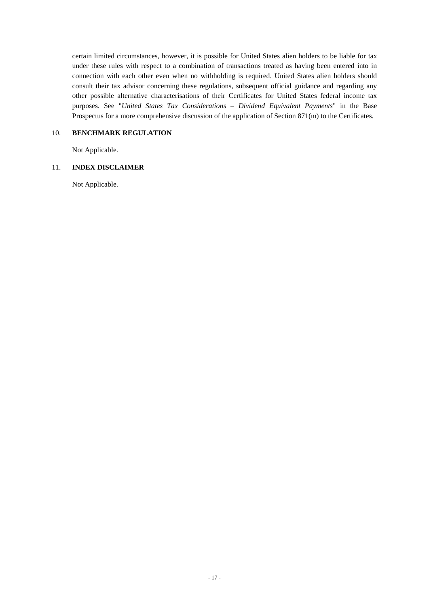certain limited circumstances, however, it is possible for United States alien holders to be liable for tax under these rules with respect to a combination of transactions treated as having been entered into in connection with each other even when no withholding is required. United States alien holders should consult their tax advisor concerning these regulations, subsequent official guidance and regarding any other possible alternative characterisations of their Certificates for United States federal income tax purposes. See "*United States Tax Considerations – Dividend Equivalent Payments*" in the Base Prospectus for a more comprehensive discussion of the application of Section 871(m) to the Certificates.

## 10. **BENCHMARK REGULATION**

Not Applicable.

## 11. **INDEX DISCLAIMER**

Not Applicable.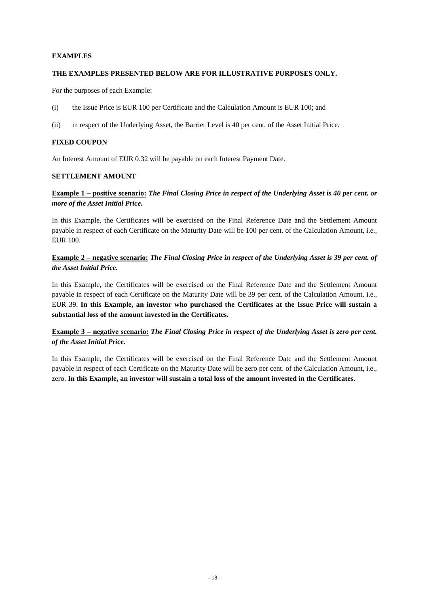## **EXAMPLES**

## **THE EXAMPLES PRESENTED BELOW ARE FOR ILLUSTRATIVE PURPOSES ONLY.**

For the purposes of each Example:

- (i) the Issue Price is EUR 100 per Certificate and the Calculation Amount is EUR 100; and
- (ii) in respect of the Underlying Asset, the Barrier Level is 40 per cent. of the Asset Initial Price.

## **FIXED COUPON**

An Interest Amount of EUR 0.32 will be payable on each Interest Payment Date.

## **SETTLEMENT AMOUNT**

## **Example 1 – positive scenario:** *The Final Closing Price in respect of the Underlying Asset is 40 per cent. or more of the Asset Initial Price.*

In this Example, the Certificates will be exercised on the Final Reference Date and the Settlement Amount payable in respect of each Certificate on the Maturity Date will be 100 per cent. of the Calculation Amount, i.e., EUR 100.

## **Example 2 – negative scenario:** *The Final Closing Price in respect of the Underlying Asset is 39 per cent. of the Asset Initial Price.*

In this Example, the Certificates will be exercised on the Final Reference Date and the Settlement Amount payable in respect of each Certificate on the Maturity Date will be 39 per cent. of the Calculation Amount, i.e., EUR 39. **In this Example, an investor who purchased the Certificates at the Issue Price will sustain a substantial loss of the amount invested in the Certificates.**

## **Example 3 – negative scenario:** *The Final Closing Price in respect of the Underlying Asset is zero per cent. of the Asset Initial Price.*

In this Example, the Certificates will be exercised on the Final Reference Date and the Settlement Amount payable in respect of each Certificate on the Maturity Date will be zero per cent. of the Calculation Amount, i.e., zero. **In this Example, an investor will sustain a total loss of the amount invested in the Certificates.**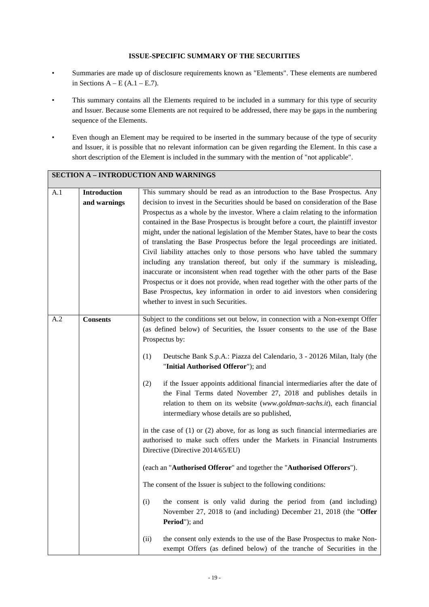## **ISSUE-SPECIFIC SUMMARY OF THE SECURITIES**

- Summaries are made up of disclosure requirements known as "Elements". These elements are numbered in Sections  $A - E(A.1 - E.7)$ .
- This summary contains all the Elements required to be included in a summary for this type of security and Issuer. Because some Elements are not required to be addressed, there may be gaps in the numbering sequence of the Elements.
- Even though an Element may be required to be inserted in the summary because of the type of security and Issuer, it is possible that no relevant information can be given regarding the Element. In this case a short description of the Element is included in the summary with the mention of "not applicable".

|     |                              | <b>SECTION A - INTRODUCTION AND WARNINGS</b>                                                                                                                                                                                                                                                                                                                                                                                                                                                                                                                                                                                                                                                                                                                                                                                                                                                                                                                                                                                                                                                                                                                                                                                                                                         |
|-----|------------------------------|--------------------------------------------------------------------------------------------------------------------------------------------------------------------------------------------------------------------------------------------------------------------------------------------------------------------------------------------------------------------------------------------------------------------------------------------------------------------------------------------------------------------------------------------------------------------------------------------------------------------------------------------------------------------------------------------------------------------------------------------------------------------------------------------------------------------------------------------------------------------------------------------------------------------------------------------------------------------------------------------------------------------------------------------------------------------------------------------------------------------------------------------------------------------------------------------------------------------------------------------------------------------------------------|
| A.1 | Introduction<br>and warnings | This summary should be read as an introduction to the Base Prospectus. Any<br>decision to invest in the Securities should be based on consideration of the Base<br>Prospectus as a whole by the investor. Where a claim relating to the information<br>contained in the Base Prospectus is brought before a court, the plaintiff investor<br>might, under the national legislation of the Member States, have to bear the costs<br>of translating the Base Prospectus before the legal proceedings are initiated.<br>Civil liability attaches only to those persons who have tabled the summary<br>including any translation thereof, but only if the summary is misleading,<br>inaccurate or inconsistent when read together with the other parts of the Base<br>Prospectus or it does not provide, when read together with the other parts of the<br>Base Prospectus, key information in order to aid investors when considering<br>whether to invest in such Securities.                                                                                                                                                                                                                                                                                                          |
| A.2 | <b>Consents</b>              | Subject to the conditions set out below, in connection with a Non-exempt Offer<br>(as defined below) of Securities, the Issuer consents to the use of the Base<br>Prospectus by:<br>(1)<br>Deutsche Bank S.p.A.: Piazza del Calendario, 3 - 20126 Milan, Italy (the<br>"Initial Authorised Offeror"); and<br>if the Issuer appoints additional financial intermediaries after the date of<br>(2)<br>the Final Terms dated November 27, 2018 and publishes details in<br>relation to them on its website (www.goldman-sachs.it), each financial<br>intermediary whose details are so published,<br>in the case of $(1)$ or $(2)$ above, for as long as such financial intermediaries are<br>authorised to make such offers under the Markets in Financial Instruments<br>Directive (Directive 2014/65/EU)<br>(each an "Authorised Offeror" and together the "Authorised Offerors").<br>The consent of the Issuer is subject to the following conditions:<br>(i)<br>the consent is only valid during the period from (and including)<br>November 27, 2018 to (and including) December 21, 2018 (the "Offer<br>Period"); and<br>(ii)<br>the consent only extends to the use of the Base Prospectus to make Non-<br>exempt Offers (as defined below) of the tranche of Securities in the |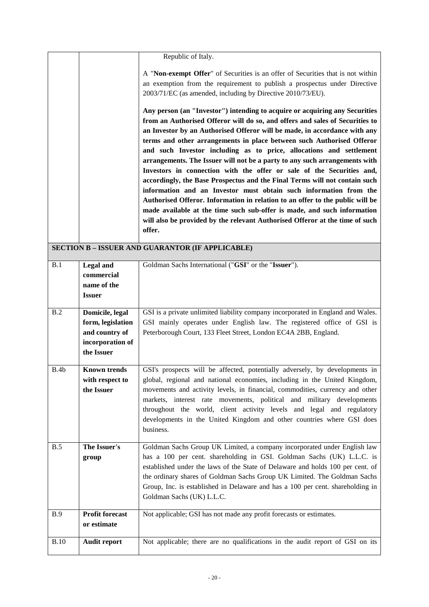|             |                                                                                          | Republic of Italy.                                                                                                                                                                                                                                                                                                                                                                                                                                                                                                                                                                                                                                                                                                                                                                                                                                                                                                                                                                                                  |
|-------------|------------------------------------------------------------------------------------------|---------------------------------------------------------------------------------------------------------------------------------------------------------------------------------------------------------------------------------------------------------------------------------------------------------------------------------------------------------------------------------------------------------------------------------------------------------------------------------------------------------------------------------------------------------------------------------------------------------------------------------------------------------------------------------------------------------------------------------------------------------------------------------------------------------------------------------------------------------------------------------------------------------------------------------------------------------------------------------------------------------------------|
|             |                                                                                          |                                                                                                                                                                                                                                                                                                                                                                                                                                                                                                                                                                                                                                                                                                                                                                                                                                                                                                                                                                                                                     |
|             |                                                                                          | A "Non-exempt Offer" of Securities is an offer of Securities that is not within<br>an exemption from the requirement to publish a prospectus under Directive<br>2003/71/EC (as amended, including by Directive 2010/73/EU).                                                                                                                                                                                                                                                                                                                                                                                                                                                                                                                                                                                                                                                                                                                                                                                         |
|             |                                                                                          | Any person (an "Investor") intending to acquire or acquiring any Securities<br>from an Authorised Offeror will do so, and offers and sales of Securities to<br>an Investor by an Authorised Offeror will be made, in accordance with any<br>terms and other arrangements in place between such Authorised Offeror<br>and such Investor including as to price, allocations and settlement<br>arrangements. The Issuer will not be a party to any such arrangements with<br>Investors in connection with the offer or sale of the Securities and,<br>accordingly, the Base Prospectus and the Final Terms will not contain such<br>information and an Investor must obtain such information from the<br>Authorised Offeror. Information in relation to an offer to the public will be<br>made available at the time such sub-offer is made, and such information<br>will also be provided by the relevant Authorised Offeror at the time of such<br>offer.<br><b>SECTION B - ISSUER AND GUARANTOR (IF APPLICABLE)</b> |
|             |                                                                                          |                                                                                                                                                                                                                                                                                                                                                                                                                                                                                                                                                                                                                                                                                                                                                                                                                                                                                                                                                                                                                     |
| B.1         | <b>Legal</b> and<br>commercial<br>name of the<br><b>Issuer</b>                           | Goldman Sachs International ("GSI" or the "Issuer").                                                                                                                                                                                                                                                                                                                                                                                                                                                                                                                                                                                                                                                                                                                                                                                                                                                                                                                                                                |
| B.2         | Domicile, legal<br>form, legislation<br>and country of<br>incorporation of<br>the Issuer | GSI is a private unlimited liability company incorporated in England and Wales.<br>GSI mainly operates under English law. The registered office of GSI is<br>Peterborough Court, 133 Fleet Street, London EC4A 2BB, England.                                                                                                                                                                                                                                                                                                                                                                                                                                                                                                                                                                                                                                                                                                                                                                                        |
| B.4b        | Known trends<br>with respect to<br>the Issuer                                            | GSI's prospects will be affected, potentially adversely, by developments in<br>global, regional and national economies, including in the United Kingdom,<br>movements and activity levels, in financial, commodities, currency and other<br>markets, interest rate movements, political and military developments<br>throughout the world, client activity levels and legal and regulatory<br>developments in the United Kingdom and other countries where GSI does<br>business.                                                                                                                                                                                                                                                                                                                                                                                                                                                                                                                                    |
| B.5         | The Issuer's<br>group                                                                    | Goldman Sachs Group UK Limited, a company incorporated under English law<br>has a 100 per cent. shareholding in GSI. Goldman Sachs (UK) L.L.C. is<br>established under the laws of the State of Delaware and holds 100 per cent. of<br>the ordinary shares of Goldman Sachs Group UK Limited. The Goldman Sachs<br>Group, Inc. is established in Delaware and has a 100 per cent. shareholding in<br>Goldman Sachs (UK) L.L.C.                                                                                                                                                                                                                                                                                                                                                                                                                                                                                                                                                                                      |
| <b>B.9</b>  | <b>Profit forecast</b><br>or estimate                                                    | Not applicable; GSI has not made any profit forecasts or estimates.                                                                                                                                                                                                                                                                                                                                                                                                                                                                                                                                                                                                                                                                                                                                                                                                                                                                                                                                                 |
| <b>B.10</b> | <b>Audit report</b>                                                                      | Not applicable; there are no qualifications in the audit report of GSI on its                                                                                                                                                                                                                                                                                                                                                                                                                                                                                                                                                                                                                                                                                                                                                                                                                                                                                                                                       |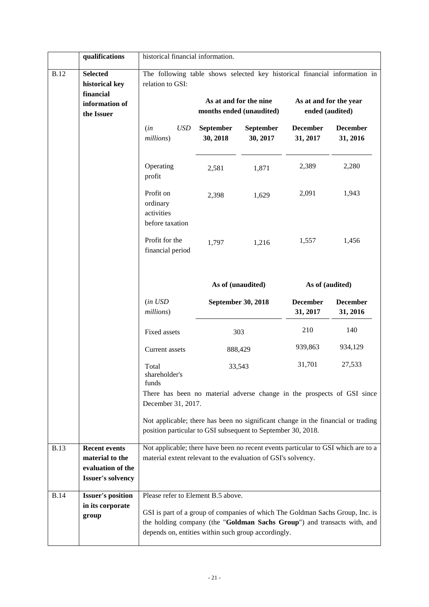|                                                                                               | qualifications                                                                           | historical financial information.                                                                                                                                                                                                                     |                              |                                                    |                                           |                             |
|-----------------------------------------------------------------------------------------------|------------------------------------------------------------------------------------------|-------------------------------------------------------------------------------------------------------------------------------------------------------------------------------------------------------------------------------------------------------|------------------------------|----------------------------------------------------|-------------------------------------------|-----------------------------|
| <b>Selected</b><br><b>B.12</b><br>historical key<br>financial<br>information of<br>the Issuer |                                                                                          | The following table shows selected key historical financial information in<br>relation to GSI:                                                                                                                                                        |                              | As at and for the nine<br>months ended (unaudited) | As at and for the year<br>ended (audited) |                             |
|                                                                                               |                                                                                          | <b>USD</b><br>(in<br>millions)                                                                                                                                                                                                                        | <b>September</b><br>30, 2018 | <b>September</b><br>30, 2017                       | <b>December</b><br>31, 2017               | <b>December</b><br>31, 2016 |
|                                                                                               |                                                                                          | Operating<br>profit                                                                                                                                                                                                                                   | 2,581                        | 1,871                                              | 2,389                                     | 2,280                       |
|                                                                                               |                                                                                          | Profit on<br>ordinary<br>activities<br>before taxation                                                                                                                                                                                                | 2,398                        | 1,629                                              | 2,091                                     | 1,943                       |
|                                                                                               |                                                                                          | Profit for the<br>financial period                                                                                                                                                                                                                    | 1,797                        | 1,216                                              | 1,557                                     | 1,456                       |
|                                                                                               |                                                                                          |                                                                                                                                                                                                                                                       |                              | As of (unaudited)                                  | As of (audited)                           |                             |
|                                                                                               |                                                                                          | (in USD<br>millions)                                                                                                                                                                                                                                  |                              | September 30, 2018                                 | <b>December</b><br>31, 2017               | <b>December</b><br>31, 2016 |
|                                                                                               |                                                                                          | Fixed assets                                                                                                                                                                                                                                          |                              | 303                                                | 210                                       | 140                         |
|                                                                                               |                                                                                          | Current assets                                                                                                                                                                                                                                        |                              | 888,429                                            | 939,863                                   | 934,129                     |
| 33,543<br>Total<br>shareholder's<br>funds                                                     |                                                                                          | 31,701                                                                                                                                                                                                                                                | 27,533                       |                                                    |                                           |                             |
|                                                                                               |                                                                                          | There has been no material adverse change in the prospects of GSI since<br>December 31, 2017.                                                                                                                                                         |                              |                                                    |                                           |                             |
|                                                                                               |                                                                                          | Not applicable; there has been no significant change in the financial or trading<br>position particular to GSI subsequent to September 30, 2018.                                                                                                      |                              |                                                    |                                           |                             |
| <b>B.13</b>                                                                                   | <b>Recent events</b><br>material to the<br>evaluation of the<br><b>Issuer's solvency</b> | Not applicable; there have been no recent events particular to GSI which are to a<br>material extent relevant to the evaluation of GSI's solvency.                                                                                                    |                              |                                                    |                                           |                             |
| <b>B.14</b>                                                                                   | <b>Issuer's position</b><br>in its corporate<br>group                                    | Please refer to Element B.5 above.<br>GSI is part of a group of companies of which The Goldman Sachs Group, Inc. is<br>the holding company (the "Goldman Sachs Group") and transacts with, and<br>depends on, entities within such group accordingly. |                              |                                                    |                                           |                             |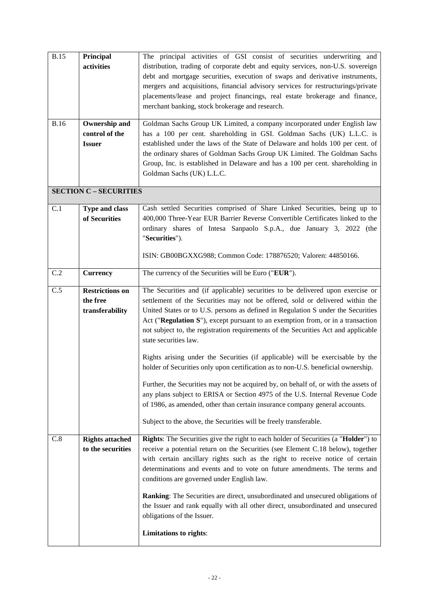| <b>B.15</b> | Principal                     | The principal activities of GSI consist of securities underwriting and              |  |  |  |
|-------------|-------------------------------|-------------------------------------------------------------------------------------|--|--|--|
|             | activities                    | distribution, trading of corporate debt and equity services, non-U.S. sovereign     |  |  |  |
|             |                               | debt and mortgage securities, execution of swaps and derivative instruments,        |  |  |  |
|             |                               | mergers and acquisitions, financial advisory services for restructurings/private    |  |  |  |
|             |                               | placements/lease and project financings, real estate brokerage and finance,         |  |  |  |
|             |                               | merchant banking, stock brokerage and research.                                     |  |  |  |
| <b>B.16</b> | <b>Ownership and</b>          | Goldman Sachs Group UK Limited, a company incorporated under English law            |  |  |  |
|             | control of the                | has a 100 per cent. shareholding in GSI. Goldman Sachs (UK) L.L.C. is               |  |  |  |
|             | <b>Issuer</b>                 | established under the laws of the State of Delaware and holds 100 per cent. of      |  |  |  |
|             |                               | the ordinary shares of Goldman Sachs Group UK Limited. The Goldman Sachs            |  |  |  |
|             |                               | Group, Inc. is established in Delaware and has a 100 per cent. shareholding in      |  |  |  |
|             |                               | Goldman Sachs (UK) L.L.C.                                                           |  |  |  |
|             | <b>SECTION C - SECURITIES</b> |                                                                                     |  |  |  |
| C.1         | Type and class                | Cash settled Securities comprised of Share Linked Securities, being up to           |  |  |  |
|             | of Securities                 | 400,000 Three-Year EUR Barrier Reverse Convertible Certificates linked to the       |  |  |  |
|             |                               | ordinary shares of Intesa Sanpaolo S.p.A., due January 3, 2022 (the                 |  |  |  |
|             |                               | "Securities").                                                                      |  |  |  |
|             |                               | ISIN: GB00BGXXG988; Common Code: 178876520; Valoren: 44850166.                      |  |  |  |
|             |                               |                                                                                     |  |  |  |
| C.2         | <b>Currency</b>               | The currency of the Securities will be Euro ("EUR").                                |  |  |  |
| C.5         | <b>Restrictions on</b>        | The Securities and (if applicable) securities to be delivered upon exercise or      |  |  |  |
|             | the free                      | settlement of the Securities may not be offered, sold or delivered within the       |  |  |  |
|             | transferability               | United States or to U.S. persons as defined in Regulation S under the Securities    |  |  |  |
|             |                               | Act ("Regulation S"), except pursuant to an exemption from, or in a transaction     |  |  |  |
|             |                               | not subject to, the registration requirements of the Securities Act and applicable  |  |  |  |
|             |                               | state securities law.                                                               |  |  |  |
|             |                               | Rights arising under the Securities (if applicable) will be exercisable by the      |  |  |  |
|             |                               | holder of Securities only upon certification as to non-U.S. beneficial ownership.   |  |  |  |
|             |                               | Further, the Securities may not be acquired by, on behalf of, or with the assets of |  |  |  |
|             |                               | any plans subject to ERISA or Section 4975 of the U.S. Internal Revenue Code        |  |  |  |
|             |                               | of 1986, as amended, other than certain insurance company general accounts.         |  |  |  |
|             |                               | Subject to the above, the Securities will be freely transferable.                   |  |  |  |
| C.8         | <b>Rights attached</b>        | Rights: The Securities give the right to each holder of Securities (a "Holder") to  |  |  |  |
|             | to the securities             | receive a potential return on the Securities (see Element C.18 below), together     |  |  |  |
|             |                               | with certain ancillary rights such as the right to receive notice of certain        |  |  |  |
|             |                               | determinations and events and to vote on future amendments. The terms and           |  |  |  |
|             |                               | conditions are governed under English law.                                          |  |  |  |
|             |                               | Ranking: The Securities are direct, unsubordinated and unsecured obligations of     |  |  |  |
|             |                               | the Issuer and rank equally with all other direct, unsubordinated and unsecured     |  |  |  |
|             |                               | obligations of the Issuer.                                                          |  |  |  |
|             |                               | Limitations to rights:                                                              |  |  |  |
|             |                               |                                                                                     |  |  |  |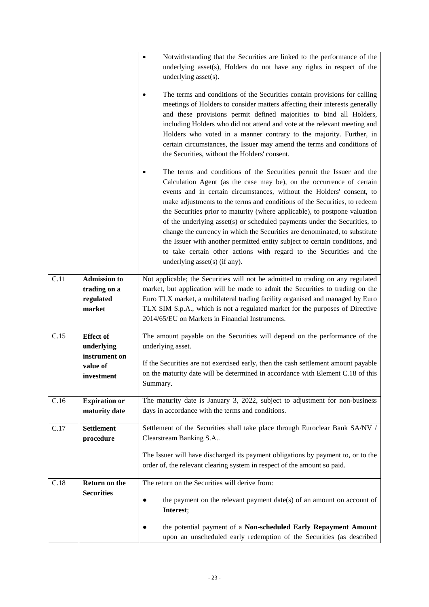|      |                                                            | Notwithstanding that the Securities are linked to the performance of the<br>$\bullet$<br>underlying asset(s), Holders do not have any rights in respect of the<br>underlying asset(s).<br>The terms and conditions of the Securities contain provisions for calling<br>meetings of Holders to consider matters affecting their interests generally<br>and these provisions permit defined majorities to bind all Holders,<br>including Holders who did not attend and vote at the relevant meeting and<br>Holders who voted in a manner contrary to the majority. Further, in<br>certain circumstances, the Issuer may amend the terms and conditions of<br>the Securities, without the Holders' consent.<br>The terms and conditions of the Securities permit the Issuer and the |
|------|------------------------------------------------------------|-----------------------------------------------------------------------------------------------------------------------------------------------------------------------------------------------------------------------------------------------------------------------------------------------------------------------------------------------------------------------------------------------------------------------------------------------------------------------------------------------------------------------------------------------------------------------------------------------------------------------------------------------------------------------------------------------------------------------------------------------------------------------------------|
|      |                                                            | Calculation Agent (as the case may be), on the occurrence of certain<br>events and in certain circumstances, without the Holders' consent, to<br>make adjustments to the terms and conditions of the Securities, to redeem<br>the Securities prior to maturity (where applicable), to postpone valuation<br>of the underlying asset(s) or scheduled payments under the Securities, to<br>change the currency in which the Securities are denominated, to substitute<br>the Issuer with another permitted entity subject to certain conditions, and<br>to take certain other actions with regard to the Securities and the<br>underlying asset(s) (if any).                                                                                                                        |
| C.11 | <b>Admission to</b><br>trading on a<br>regulated<br>market | Not applicable; the Securities will not be admitted to trading on any regulated<br>market, but application will be made to admit the Securities to trading on the<br>Euro TLX market, a multilateral trading facility organised and managed by Euro<br>TLX SIM S.p.A., which is not a regulated market for the purposes of Directive<br>2014/65/EU on Markets in Financial Instruments.                                                                                                                                                                                                                                                                                                                                                                                           |
| C.15 | <b>Effect of</b><br>underlying                             | The amount payable on the Securities will depend on the performance of the<br>underlying asset.                                                                                                                                                                                                                                                                                                                                                                                                                                                                                                                                                                                                                                                                                   |
|      | instrument on<br>value of<br>investment                    | If the Securities are not exercised early, then the cash settlement amount payable<br>on the maturity date will be determined in accordance with Element C.18 of this<br>Summary.                                                                                                                                                                                                                                                                                                                                                                                                                                                                                                                                                                                                 |
| C.16 | <b>Expiration or</b><br>maturity date                      | The maturity date is January 3, 2022, subject to adjustment for non-business<br>days in accordance with the terms and conditions.                                                                                                                                                                                                                                                                                                                                                                                                                                                                                                                                                                                                                                                 |
| C.17 | <b>Settlement</b><br>procedure                             | Settlement of the Securities shall take place through Euroclear Bank SA/NV /<br>Clearstream Banking S.A                                                                                                                                                                                                                                                                                                                                                                                                                                                                                                                                                                                                                                                                           |
|      |                                                            | The Issuer will have discharged its payment obligations by payment to, or to the<br>order of, the relevant clearing system in respect of the amount so paid.                                                                                                                                                                                                                                                                                                                                                                                                                                                                                                                                                                                                                      |
| C.18 | Return on the<br><b>Securities</b>                         | The return on the Securities will derive from:<br>the payment on the relevant payment $date(s)$ of an amount on account of<br>$\bullet$<br>Interest;                                                                                                                                                                                                                                                                                                                                                                                                                                                                                                                                                                                                                              |
|      |                                                            | the potential payment of a Non-scheduled Early Repayment Amount<br>upon an unscheduled early redemption of the Securities (as described                                                                                                                                                                                                                                                                                                                                                                                                                                                                                                                                                                                                                                           |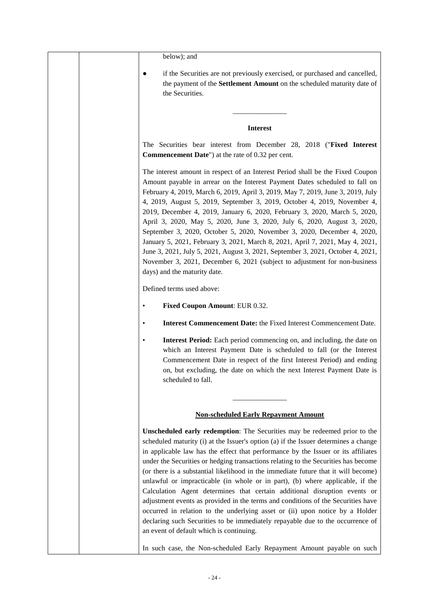| below); and                                                                                                                                                                                                                                                                                                                                                                                                                                                                                                                                                                                                                                                                                                                                                                                                                                                                                       |
|---------------------------------------------------------------------------------------------------------------------------------------------------------------------------------------------------------------------------------------------------------------------------------------------------------------------------------------------------------------------------------------------------------------------------------------------------------------------------------------------------------------------------------------------------------------------------------------------------------------------------------------------------------------------------------------------------------------------------------------------------------------------------------------------------------------------------------------------------------------------------------------------------|
| if the Securities are not previously exercised, or purchased and cancelled,<br>the payment of the Settlement Amount on the scheduled maturity date of<br>the Securities.                                                                                                                                                                                                                                                                                                                                                                                                                                                                                                                                                                                                                                                                                                                          |
| <b>Interest</b>                                                                                                                                                                                                                                                                                                                                                                                                                                                                                                                                                                                                                                                                                                                                                                                                                                                                                   |
| The Securities bear interest from December 28, 2018 ("Fixed Interest<br><b>Commencement Date"</b> ) at the rate of 0.32 per cent.                                                                                                                                                                                                                                                                                                                                                                                                                                                                                                                                                                                                                                                                                                                                                                 |
| The interest amount in respect of an Interest Period shall be the Fixed Coupon<br>Amount payable in arrear on the Interest Payment Dates scheduled to fall on<br>February 4, 2019, March 6, 2019, April 3, 2019, May 7, 2019, June 3, 2019, July<br>4, 2019, August 5, 2019, September 3, 2019, October 4, 2019, November 4,<br>2019, December 4, 2019, January 6, 2020, February 3, 2020, March 5, 2020,<br>April 3, 2020, May 5, 2020, June 3, 2020, July 6, 2020, August 3, 2020,<br>September 3, 2020, October 5, 2020, November 3, 2020, December 4, 2020,<br>January 5, 2021, February 3, 2021, March 8, 2021, April 7, 2021, May 4, 2021,<br>June 3, 2021, July 5, 2021, August 3, 2021, September 3, 2021, October 4, 2021,<br>November 3, 2021, December 6, 2021 (subject to adjustment for non-business<br>days) and the maturity date.                                                 |
| Defined terms used above:                                                                                                                                                                                                                                                                                                                                                                                                                                                                                                                                                                                                                                                                                                                                                                                                                                                                         |
| Fixed Coupon Amount: EUR 0.32.<br>٠                                                                                                                                                                                                                                                                                                                                                                                                                                                                                                                                                                                                                                                                                                                                                                                                                                                               |
| Interest Commencement Date: the Fixed Interest Commencement Date.<br>٠                                                                                                                                                                                                                                                                                                                                                                                                                                                                                                                                                                                                                                                                                                                                                                                                                            |
| Interest Period: Each period commencing on, and including, the date on<br>٠<br>which an Interest Payment Date is scheduled to fall (or the Interest<br>Commencement Date in respect of the first Interest Period) and ending<br>on, but excluding, the date on which the next Interest Payment Date is<br>scheduled to fall.                                                                                                                                                                                                                                                                                                                                                                                                                                                                                                                                                                      |
|                                                                                                                                                                                                                                                                                                                                                                                                                                                                                                                                                                                                                                                                                                                                                                                                                                                                                                   |
| <b>Non-scheduled Early Repayment Amount</b>                                                                                                                                                                                                                                                                                                                                                                                                                                                                                                                                                                                                                                                                                                                                                                                                                                                       |
| Unscheduled early redemption: The Securities may be redeemed prior to the<br>scheduled maturity (i) at the Issuer's option (a) if the Issuer determines a change<br>in applicable law has the effect that performance by the Issuer or its affiliates<br>under the Securities or hedging transactions relating to the Securities has become<br>(or there is a substantial likelihood in the immediate future that it will become)<br>unlawful or impracticable (in whole or in part), (b) where applicable, if the<br>Calculation Agent determines that certain additional disruption events or<br>adjustment events as provided in the terms and conditions of the Securities have<br>occurred in relation to the underlying asset or (ii) upon notice by a Holder<br>declaring such Securities to be immediately repayable due to the occurrence of<br>an event of default which is continuing. |
| In such case, the Non-scheduled Early Repayment Amount payable on such                                                                                                                                                                                                                                                                                                                                                                                                                                                                                                                                                                                                                                                                                                                                                                                                                            |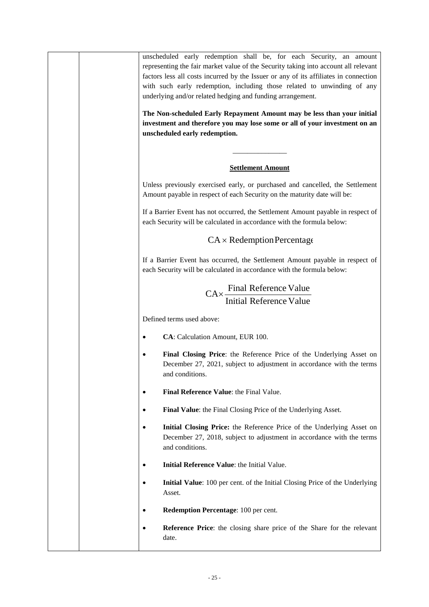| unscheduled early redemption shall be, for each Security, an amount<br>representing the fair market value of the Security taking into account all relevant<br>factors less all costs incurred by the Issuer or any of its affiliates in connection<br>with such early redemption, including those related to unwinding of any<br>underlying and/or related hedging and funding arrangement.<br>The Non-scheduled Early Repayment Amount may be less than your initial<br>investment and therefore you may lose some or all of your investment on an<br>unscheduled early redemption. |
|--------------------------------------------------------------------------------------------------------------------------------------------------------------------------------------------------------------------------------------------------------------------------------------------------------------------------------------------------------------------------------------------------------------------------------------------------------------------------------------------------------------------------------------------------------------------------------------|
| <b>Settlement Amount</b>                                                                                                                                                                                                                                                                                                                                                                                                                                                                                                                                                             |
| Unless previously exercised early, or purchased and cancelled, the Settlement<br>Amount payable in respect of each Security on the maturity date will be:                                                                                                                                                                                                                                                                                                                                                                                                                            |
| If a Barrier Event has not occurred, the Settlement Amount payable in respect of<br>each Security will be calculated in accordance with the formula below:                                                                                                                                                                                                                                                                                                                                                                                                                           |
| $CA \times Redemption Percentage$                                                                                                                                                                                                                                                                                                                                                                                                                                                                                                                                                    |
| If a Barrier Event has occurred, the Settlement Amount payable in respect of<br>each Security will be calculated in accordance with the formula below:                                                                                                                                                                                                                                                                                                                                                                                                                               |
| $CA \times \frac{Final$ Reference Value<br>Initial Reference Value                                                                                                                                                                                                                                                                                                                                                                                                                                                                                                                   |
| Defined terms used above:                                                                                                                                                                                                                                                                                                                                                                                                                                                                                                                                                            |
| CA: Calculation Amount, EUR 100.<br>$\bullet$                                                                                                                                                                                                                                                                                                                                                                                                                                                                                                                                        |
| Final Closing Price: the Reference Price of the Underlying Asset on<br>$\bullet$<br>December 27, 2021, subject to adjustment in accordance with the terms<br>and conditions.                                                                                                                                                                                                                                                                                                                                                                                                         |
| Final Reference Value: the Final Value.<br>$\bullet$                                                                                                                                                                                                                                                                                                                                                                                                                                                                                                                                 |
| Final Value: the Final Closing Price of the Underlying Asset.<br>$\bullet$                                                                                                                                                                                                                                                                                                                                                                                                                                                                                                           |
| Initial Closing Price: the Reference Price of the Underlying Asset on<br>$\bullet$<br>December 27, 2018, subject to adjustment in accordance with the terms<br>and conditions.                                                                                                                                                                                                                                                                                                                                                                                                       |
| Initial Reference Value: the Initial Value.<br>$\bullet$                                                                                                                                                                                                                                                                                                                                                                                                                                                                                                                             |
| Initial Value: 100 per cent. of the Initial Closing Price of the Underlying<br>$\bullet$<br>Asset.                                                                                                                                                                                                                                                                                                                                                                                                                                                                                   |
| Redemption Percentage: 100 per cent.<br>$\bullet$                                                                                                                                                                                                                                                                                                                                                                                                                                                                                                                                    |
| Reference Price: the closing share price of the Share for the relevant<br>$\bullet$<br>date.                                                                                                                                                                                                                                                                                                                                                                                                                                                                                         |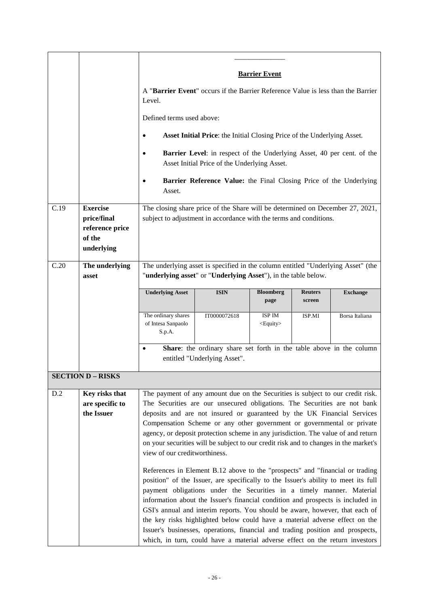|      |                                                                           | <b>Barrier Event</b><br>A "Barrier Event" occurs if the Barrier Reference Value is less than the Barrier<br>Level.<br>Defined terms used above:<br>Asset Initial Price: the Initial Closing Price of the Underlying Asset.<br>٠<br><b>Barrier Level:</b> in respect of the Underlying Asset, 40 per cent. of the<br>$\bullet$<br>Asset Initial Price of the Underlying Asset.<br>Barrier Reference Value: the Final Closing Price of the Underlying<br>Asset.                                                                                                                                                                                                    |                                                                                      |                             |                          |                 |
|------|---------------------------------------------------------------------------|------------------------------------------------------------------------------------------------------------------------------------------------------------------------------------------------------------------------------------------------------------------------------------------------------------------------------------------------------------------------------------------------------------------------------------------------------------------------------------------------------------------------------------------------------------------------------------------------------------------------------------------------------------------|--------------------------------------------------------------------------------------|-----------------------------|--------------------------|-----------------|
| C.19 | <b>Exercise</b><br>price/final<br>reference price<br>of the<br>underlying | The closing share price of the Share will be determined on December 27, 2021,<br>subject to adjustment in accordance with the terms and conditions.                                                                                                                                                                                                                                                                                                                                                                                                                                                                                                              |                                                                                      |                             |                          |                 |
| C.20 | The underlying<br>asset                                                   | The underlying asset is specified in the column entitled "Underlying Asset" (the<br>"underlying asset" or "Underlying Asset"), in the table below.                                                                                                                                                                                                                                                                                                                                                                                                                                                                                                               |                                                                                      |                             |                          |                 |
|      |                                                                           | <b>Underlying Asset</b>                                                                                                                                                                                                                                                                                                                                                                                                                                                                                                                                                                                                                                          | <b>ISIN</b>                                                                          | <b>Bloomberg</b><br>page    | <b>Reuters</b><br>screen | <b>Exchange</b> |
|      |                                                                           | The ordinary shares<br>of Intesa Sanpaolo<br>S.p.A.<br>$\bullet$                                                                                                                                                                                                                                                                                                                                                                                                                                                                                                                                                                                                 | IT0000072618<br>Share: the ordinary share set forth in the table above in the column | ISP IM<br><equity></equity> | ISP.MI                   | Borsa Italiana  |
|      |                                                                           | entitled "Underlying Asset".                                                                                                                                                                                                                                                                                                                                                                                                                                                                                                                                                                                                                                     |                                                                                      |                             |                          |                 |
|      | <b>SECTION D - RISKS</b>                                                  |                                                                                                                                                                                                                                                                                                                                                                                                                                                                                                                                                                                                                                                                  |                                                                                      |                             |                          |                 |
| D.2  | Key risks that<br>are specific to<br>the Issuer                           | The payment of any amount due on the Securities is subject to our credit risk.<br>The Securities are our unsecured obligations. The Securities are not bank<br>deposits and are not insured or guaranteed by the UK Financial Services<br>Compensation Scheme or any other government or governmental or private<br>agency, or deposit protection scheme in any jurisdiction. The value of and return<br>on your securities will be subject to our credit risk and to changes in the market's<br>view of our creditworthiness.                                                                                                                                   |                                                                                      |                             |                          |                 |
|      |                                                                           | References in Element B.12 above to the "prospects" and "financial or trading<br>position" of the Issuer, are specifically to the Issuer's ability to meet its full<br>payment obligations under the Securities in a timely manner. Material<br>information about the Issuer's financial condition and prospects is included in<br>GSI's annual and interim reports. You should be aware, however, that each of<br>the key risks highlighted below could have a material adverse effect on the<br>Issuer's businesses, operations, financial and trading position and prospects,<br>which, in turn, could have a material adverse effect on the return investors |                                                                                      |                             |                          |                 |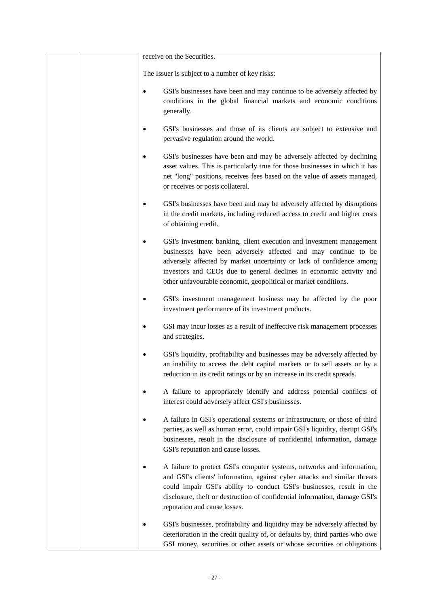|  | receive on the Securities.                                                                                                                                                                                                                                                                                                                               |  |  |
|--|----------------------------------------------------------------------------------------------------------------------------------------------------------------------------------------------------------------------------------------------------------------------------------------------------------------------------------------------------------|--|--|
|  | The Issuer is subject to a number of key risks:                                                                                                                                                                                                                                                                                                          |  |  |
|  | GSI's businesses have been and may continue to be adversely affected by<br>$\bullet$<br>conditions in the global financial markets and economic conditions<br>generally.                                                                                                                                                                                 |  |  |
|  | GSI's businesses and those of its clients are subject to extensive and<br>pervasive regulation around the world.                                                                                                                                                                                                                                         |  |  |
|  | GSI's businesses have been and may be adversely affected by declining<br>٠<br>asset values. This is particularly true for those businesses in which it has<br>net "long" positions, receives fees based on the value of assets managed,<br>or receives or posts collateral.                                                                              |  |  |
|  | GSI's businesses have been and may be adversely affected by disruptions<br>in the credit markets, including reduced access to credit and higher costs<br>of obtaining credit.                                                                                                                                                                            |  |  |
|  | GSI's investment banking, client execution and investment management<br>businesses have been adversely affected and may continue to be<br>adversely affected by market uncertainty or lack of confidence among<br>investors and CEOs due to general declines in economic activity and<br>other unfavourable economic, geopolitical or market conditions. |  |  |
|  | GSI's investment management business may be affected by the poor<br>investment performance of its investment products.                                                                                                                                                                                                                                   |  |  |
|  | GSI may incur losses as a result of ineffective risk management processes<br>and strategies.                                                                                                                                                                                                                                                             |  |  |
|  | GSI's liquidity, profitability and businesses may be adversely affected by<br>٠<br>an inability to access the debt capital markets or to sell assets or by a<br>reduction in its credit ratings or by an increase in its credit spreads.                                                                                                                 |  |  |
|  | A failure to appropriately identify and address potential conflicts of<br>interest could adversely affect GSI's businesses.                                                                                                                                                                                                                              |  |  |
|  | A failure in GSI's operational systems or infrastructure, or those of third<br>c<br>parties, as well as human error, could impair GSI's liquidity, disrupt GSI's<br>businesses, result in the disclosure of confidential information, damage<br>GSI's reputation and cause losses.                                                                       |  |  |
|  | A failure to protect GSI's computer systems, networks and information,<br>٠<br>and GSI's clients' information, against cyber attacks and similar threats<br>could impair GSI's ability to conduct GSI's businesses, result in the<br>disclosure, theft or destruction of confidential information, damage GSI's<br>reputation and cause losses.          |  |  |
|  | GSI's businesses, profitability and liquidity may be adversely affected by<br>٠<br>deterioration in the credit quality of, or defaults by, third parties who owe<br>GSI money, securities or other assets or whose securities or obligations                                                                                                             |  |  |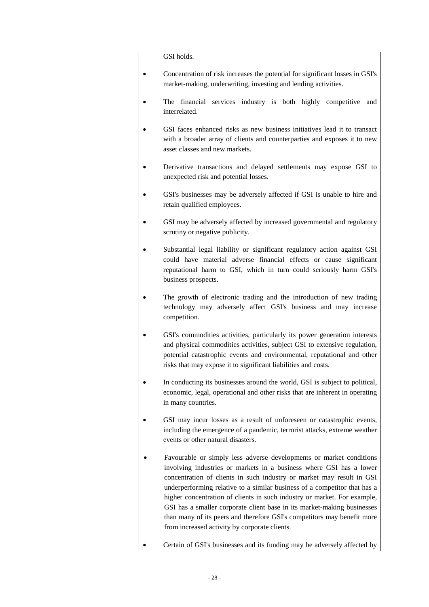|           | GSI holds.                                                                                                                                                                                                                                                                                                                                                                                                                                                                                                                                                                          |
|-----------|-------------------------------------------------------------------------------------------------------------------------------------------------------------------------------------------------------------------------------------------------------------------------------------------------------------------------------------------------------------------------------------------------------------------------------------------------------------------------------------------------------------------------------------------------------------------------------------|
| $\bullet$ | Concentration of risk increases the potential for significant losses in GSI's<br>market-making, underwriting, investing and lending activities.                                                                                                                                                                                                                                                                                                                                                                                                                                     |
|           | The financial services industry is both highly competitive and<br>interrelated.                                                                                                                                                                                                                                                                                                                                                                                                                                                                                                     |
| $\bullet$ | GSI faces enhanced risks as new business initiatives lead it to transact<br>with a broader array of clients and counterparties and exposes it to new<br>asset classes and new markets.                                                                                                                                                                                                                                                                                                                                                                                              |
| ٠         | Derivative transactions and delayed settlements may expose GSI to<br>unexpected risk and potential losses.                                                                                                                                                                                                                                                                                                                                                                                                                                                                          |
| $\bullet$ | GSI's businesses may be adversely affected if GSI is unable to hire and<br>retain qualified employees.                                                                                                                                                                                                                                                                                                                                                                                                                                                                              |
| $\bullet$ | GSI may be adversely affected by increased governmental and regulatory<br>scrutiny or negative publicity.                                                                                                                                                                                                                                                                                                                                                                                                                                                                           |
|           | Substantial legal liability or significant regulatory action against GSI<br>could have material adverse financial effects or cause significant<br>reputational harm to GSI, which in turn could seriously harm GSI's<br>business prospects.                                                                                                                                                                                                                                                                                                                                         |
| ٠         | The growth of electronic trading and the introduction of new trading<br>technology may adversely affect GSI's business and may increase<br>competition.                                                                                                                                                                                                                                                                                                                                                                                                                             |
|           | GSI's commodities activities, particularly its power generation interests<br>and physical commodities activities, subject GSI to extensive regulation,<br>potential catastrophic events and environmental, reputational and other<br>risks that may expose it to significant liabilities and costs.                                                                                                                                                                                                                                                                                 |
| ٠         | In conducting its businesses around the world, GSI is subject to political,<br>economic, legal, operational and other risks that are inherent in operating<br>in many countries.                                                                                                                                                                                                                                                                                                                                                                                                    |
|           | GSI may incur losses as a result of unforeseen or catastrophic events,<br>including the emergence of a pandemic, terrorist attacks, extreme weather<br>events or other natural disasters.                                                                                                                                                                                                                                                                                                                                                                                           |
|           | Favourable or simply less adverse developments or market conditions<br>involving industries or markets in a business where GSI has a lower<br>concentration of clients in such industry or market may result in GSI<br>underperforming relative to a similar business of a competitor that has a<br>higher concentration of clients in such industry or market. For example,<br>GSI has a smaller corporate client base in its market-making businesses<br>than many of its peers and therefore GSI's competitors may benefit more<br>from increased activity by corporate clients. |
|           | Certain of GSI's businesses and its funding may be adversely affected by                                                                                                                                                                                                                                                                                                                                                                                                                                                                                                            |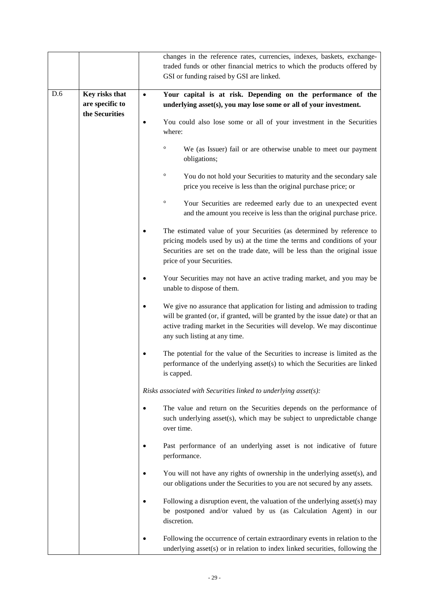|     |                                                     | changes in the reference rates, currencies, indexes, baskets, exchange-<br>traded funds or other financial metrics to which the products offered by<br>GSI or funding raised by GSI are linked.                                                                           |
|-----|-----------------------------------------------------|---------------------------------------------------------------------------------------------------------------------------------------------------------------------------------------------------------------------------------------------------------------------------|
| D.6 | Key risks that<br>are specific to<br>the Securities | Your capital is at risk. Depending on the performance of the<br>underlying asset(s), you may lose some or all of your investment.                                                                                                                                         |
|     |                                                     | You could also lose some or all of your investment in the Securities<br>where:                                                                                                                                                                                            |
|     |                                                     | $\circ$<br>We (as Issuer) fail or are otherwise unable to meet our payment<br>obligations;                                                                                                                                                                                |
|     |                                                     | $\circ$<br>You do not hold your Securities to maturity and the secondary sale<br>price you receive is less than the original purchase price; or                                                                                                                           |
|     |                                                     | $\circ$<br>Your Securities are redeemed early due to an unexpected event<br>and the amount you receive is less than the original purchase price.                                                                                                                          |
|     |                                                     | The estimated value of your Securities (as determined by reference to<br>pricing models used by us) at the time the terms and conditions of your<br>Securities are set on the trade date, will be less than the original issue<br>price of your Securities.               |
|     |                                                     | Your Securities may not have an active trading market, and you may be<br>unable to dispose of them.                                                                                                                                                                       |
|     |                                                     | We give no assurance that application for listing and admission to trading<br>will be granted (or, if granted, will be granted by the issue date) or that an<br>active trading market in the Securities will develop. We may discontinue<br>any such listing at any time. |
|     |                                                     | The potential for the value of the Securities to increase is limited as the<br>performance of the underlying asset(s) to which the Securities are linked<br>is capped.                                                                                                    |
|     |                                                     | Risks associated with Securities linked to underlying asset(s):                                                                                                                                                                                                           |
|     |                                                     | The value and return on the Securities depends on the performance of<br>such underlying asset(s), which may be subject to unpredictable change<br>over time.                                                                                                              |
|     |                                                     | Past performance of an underlying asset is not indicative of future<br>performance.                                                                                                                                                                                       |
|     |                                                     | You will not have any rights of ownership in the underlying asset(s), and<br>our obligations under the Securities to you are not secured by any assets.                                                                                                                   |
|     |                                                     | Following a disruption event, the valuation of the underlying asset(s) may<br>be postponed and/or valued by us (as Calculation Agent) in our<br>discretion.                                                                                                               |
|     |                                                     | Following the occurrence of certain extraordinary events in relation to the<br>underlying asset(s) or in relation to index linked securities, following the                                                                                                               |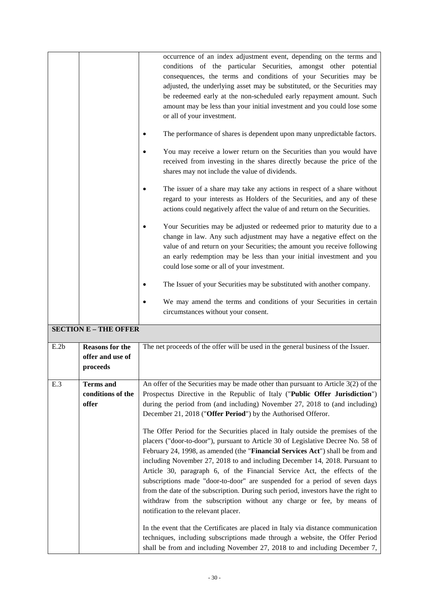|      |                                                        | occurrence of an index adjustment event, depending on the terms and<br>conditions of the particular Securities, amongst other potential<br>consequences, the terms and conditions of your Securities may be<br>adjusted, the underlying asset may be substituted, or the Securities may<br>be redeemed early at the non-scheduled early repayment amount. Such<br>amount may be less than your initial investment and you could lose some<br>or all of your investment.<br>The performance of shares is dependent upon many unpredictable factors.<br>You may receive a lower return on the Securities than you would have<br>received from investing in the shares directly because the price of the<br>shares may not include the value of dividends.<br>The issuer of a share may take any actions in respect of a share without<br>regard to your interests as Holders of the Securities, and any of these<br>actions could negatively affect the value of and return on the Securities.<br>Your Securities may be adjusted or redeemed prior to maturity due to a<br>change in law. Any such adjustment may have a negative effect on the<br>value of and return on your Securities; the amount you receive following<br>an early redemption may be less than your initial investment and you<br>could lose some or all of your investment.<br>The Issuer of your Securities may be substituted with another company. |
|------|--------------------------------------------------------|----------------------------------------------------------------------------------------------------------------------------------------------------------------------------------------------------------------------------------------------------------------------------------------------------------------------------------------------------------------------------------------------------------------------------------------------------------------------------------------------------------------------------------------------------------------------------------------------------------------------------------------------------------------------------------------------------------------------------------------------------------------------------------------------------------------------------------------------------------------------------------------------------------------------------------------------------------------------------------------------------------------------------------------------------------------------------------------------------------------------------------------------------------------------------------------------------------------------------------------------------------------------------------------------------------------------------------------------------------------------------------------------------------------------------|
|      |                                                        | We may amend the terms and conditions of your Securities in certain<br>circumstances without your consent.                                                                                                                                                                                                                                                                                                                                                                                                                                                                                                                                                                                                                                                                                                                                                                                                                                                                                                                                                                                                                                                                                                                                                                                                                                                                                                                 |
|      | <b>SECTION E - THE OFFER</b>                           |                                                                                                                                                                                                                                                                                                                                                                                                                                                                                                                                                                                                                                                                                                                                                                                                                                                                                                                                                                                                                                                                                                                                                                                                                                                                                                                                                                                                                            |
| E.2b | <b>Reasons for the</b><br>offer and use of<br>proceeds | The net proceeds of the offer will be used in the general business of the Issuer.                                                                                                                                                                                                                                                                                                                                                                                                                                                                                                                                                                                                                                                                                                                                                                                                                                                                                                                                                                                                                                                                                                                                                                                                                                                                                                                                          |
| E.3  | <b>Terms</b> and<br>conditions of the<br>offer         | An offer of the Securities may be made other than pursuant to Article $3(2)$ of the<br>Prospectus Directive in the Republic of Italy ("Public Offer Jurisdiction")<br>during the period from (and including) November 27, 2018 to (and including)<br>December 21, 2018 ("Offer Period") by the Authorised Offeror.<br>The Offer Period for the Securities placed in Italy outside the premises of the<br>placers ("door-to-door"), pursuant to Article 30 of Legislative Decree No. 58 of<br>February 24, 1998, as amended (the "Financial Services Act") shall be from and<br>including November 27, 2018 to and including December 14, 2018. Pursuant to<br>Article 30, paragraph 6, of the Financial Service Act, the effects of the<br>subscriptions made "door-to-door" are suspended for a period of seven days<br>from the date of the subscription. During such period, investors have the right to<br>withdraw from the subscription without any charge or fee, by means of<br>notification to the relevant placer.<br>In the event that the Certificates are placed in Italy via distance communication<br>techniques, including subscriptions made through a website, the Offer Period<br>shall be from and including November 27, 2018 to and including December 7,                                                                                                                                            |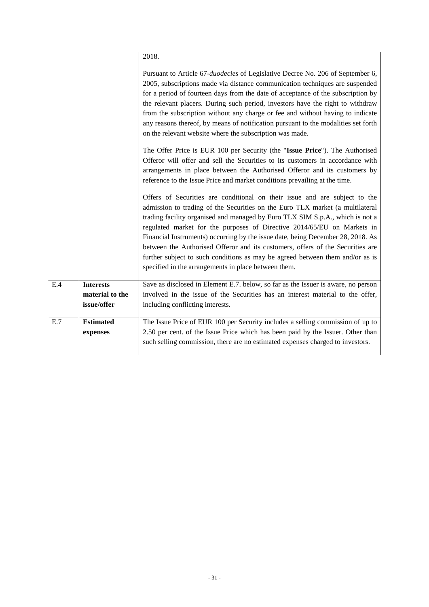|     |                                | 2018.                                                                                                                                                                                                                                                                                                                                                                                                                                                                                                                                                                                                                                 |
|-----|--------------------------------|---------------------------------------------------------------------------------------------------------------------------------------------------------------------------------------------------------------------------------------------------------------------------------------------------------------------------------------------------------------------------------------------------------------------------------------------------------------------------------------------------------------------------------------------------------------------------------------------------------------------------------------|
|     |                                | Pursuant to Article 67- <i>duodecies</i> of Legislative Decree No. 206 of September 6,<br>2005, subscriptions made via distance communication techniques are suspended<br>for a period of fourteen days from the date of acceptance of the subscription by<br>the relevant placers. During such period, investors have the right to withdraw<br>from the subscription without any charge or fee and without having to indicate<br>any reasons thereof, by means of notification pursuant to the modalities set forth<br>on the relevant website where the subscription was made.                                                      |
|     |                                | The Offer Price is EUR 100 per Security (the "Issue Price"). The Authorised<br>Offeror will offer and sell the Securities to its customers in accordance with<br>arrangements in place between the Authorised Offeror and its customers by<br>reference to the Issue Price and market conditions prevailing at the time.                                                                                                                                                                                                                                                                                                              |
|     |                                | Offers of Securities are conditional on their issue and are subject to the<br>admission to trading of the Securities on the Euro TLX market (a multilateral<br>trading facility organised and managed by Euro TLX SIM S.p.A., which is not a<br>regulated market for the purposes of Directive 2014/65/EU on Markets in<br>Financial Instruments) occurring by the issue date, being December 28, 2018. As<br>between the Authorised Offeror and its customers, offers of the Securities are<br>further subject to such conditions as may be agreed between them and/or as is<br>specified in the arrangements in place between them. |
| E.4 | <b>Interests</b>               | Save as disclosed in Element E.7. below, so far as the Issuer is aware, no person                                                                                                                                                                                                                                                                                                                                                                                                                                                                                                                                                     |
|     | material to the<br>issue/offer | involved in the issue of the Securities has an interest material to the offer,<br>including conflicting interests.                                                                                                                                                                                                                                                                                                                                                                                                                                                                                                                    |
| E.7 | <b>Estimated</b><br>expenses   | The Issue Price of EUR 100 per Security includes a selling commission of up to<br>2.50 per cent. of the Issue Price which has been paid by the Issuer. Other than<br>such selling commission, there are no estimated expenses charged to investors.                                                                                                                                                                                                                                                                                                                                                                                   |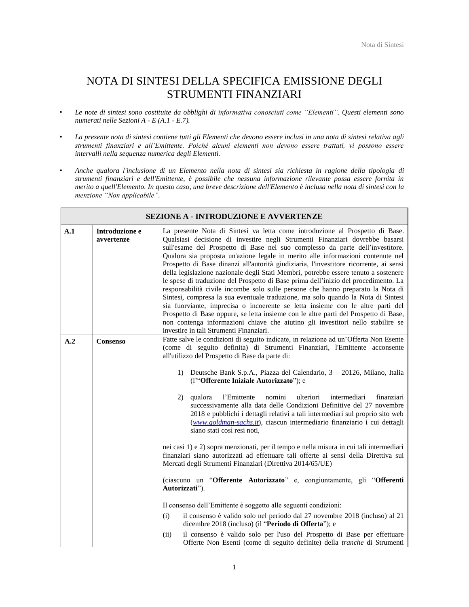## NOTA DI SINTESI DELLA SPECIFICA EMISSIONE DEGLI STRUMENTI FINANZIARI

- $\bullet$ Le note di sintesi sono costituite da obblighi di informativa conosciuti come "Elementi". Questi elementi sono *numerati nelle Sezioni A - E (A.1 - E.7).*
- $\bullet$  *La presente nota di sintesi contiene tutti gli Elementi che devono essere inclusi in una nota di sintesi relativa agli*  strumenti finanziari e all'Emittente. Poiché alcuni elementi non devono essere trattati, vi possono essere *intervalli nella sequenza numerica degli Elementi.*
- $\bullet$  *Anche qualora l'inclusione di un Elemento nella nota di sintesi sia richiesta in ragione della tipologia di strumenti finanziari e dell'Emittente, è possibile che nessuna informazione rilevante possa essere fornita in merito a quell'Elemento. In questo caso, una breve descrizione dell'Elemento è inclusa nella nota di sintesi con la*  menzione "Non applicabile".

|     |                              | <b>SEZIONE A - INTRODUZIONE E AVVERTENZE</b>                                                                                                                                                                                                                                                                                                                                                                                                                                                                                                                                                                                                                                                                                                                                                                                                                                                                                                                                                                                                                                            |
|-----|------------------------------|-----------------------------------------------------------------------------------------------------------------------------------------------------------------------------------------------------------------------------------------------------------------------------------------------------------------------------------------------------------------------------------------------------------------------------------------------------------------------------------------------------------------------------------------------------------------------------------------------------------------------------------------------------------------------------------------------------------------------------------------------------------------------------------------------------------------------------------------------------------------------------------------------------------------------------------------------------------------------------------------------------------------------------------------------------------------------------------------|
| A.1 | Introduzione e<br>avvertenze | La presente Nota di Sintesi va letta come introduzione al Prospetto di Base.<br>Qualsiasi decisione di investire negli Strumenti Finanziari dovrebbe basarsi<br>sull'esame del Prospetto di Base nel suo complesso da parte dell'investitore.<br>Qualora sia proposta un'azione legale in merito alle informazioni contenute nel<br>Prospetto di Base dinanzi all'autorità giudiziaria, l'investitore ricorrente, ai sensi<br>della legislazione nazionale degli Stati Membri, potrebbe essere tenuto a sostenere<br>le spese di traduzione del Prospetto di Base prima dell'inizio del procedimento. La<br>responsabilità civile incombe solo sulle persone che hanno preparato la Nota di<br>Sintesi, compresa la sua eventuale traduzione, ma solo quando la Nota di Sintesi<br>sia fuorviante, imprecisa o incoerente se letta insieme con le altre parti del<br>Prospetto di Base oppure, se letta insieme con le altre parti del Prospetto di Base,<br>non contenga informazioni chiave che aiutino gli investitori nello stabilire se<br>investire in tali Strumenti Finanziari. |
| A.2 | Consenso                     | Fatte salve le condizioni di seguito indicate, in relazione ad un'Offerta Non Esente<br>(come di seguito definita) di Strumenti Finanziari, l'Emittente acconsente<br>all'utilizzo del Prospetto di Base da parte di:<br>1) Deutsche Bank S.p.A., Piazza del Calendario, 3 – 20126, Milano, Italia                                                                                                                                                                                                                                                                                                                                                                                                                                                                                                                                                                                                                                                                                                                                                                                      |
|     |                              | (l'"Offerente Iniziale Autorizzato"); e<br>qualora<br>l'Emittente<br>nomini<br>ulteriori<br>intermediari<br>finanziari<br>2).<br>successivamente alla data delle Condizioni Definitive del 27 novembre<br>2018 e pubblichi i dettagli relativi a tali intermediari sul proprio sito web<br>(www.goldman-sachs.it), ciascun intermediario finanziario i cui dettagli<br>siano stati così resi noti,                                                                                                                                                                                                                                                                                                                                                                                                                                                                                                                                                                                                                                                                                      |
|     |                              | nei casi 1) e 2) sopra menzionati, per il tempo e nella misura in cui tali intermediari<br>finanziari siano autorizzati ad effettuare tali offerte ai sensi della Direttiva sui<br>Mercati degli Strumenti Finanziari (Direttiva 2014/65/UE)                                                                                                                                                                                                                                                                                                                                                                                                                                                                                                                                                                                                                                                                                                                                                                                                                                            |
|     |                              | (ciascuno un "Offerente Autorizzato" e, congiuntamente, gli "Offerenti<br>Autorizzati").                                                                                                                                                                                                                                                                                                                                                                                                                                                                                                                                                                                                                                                                                                                                                                                                                                                                                                                                                                                                |
|     |                              | Il consenso dell'Emittente è soggetto alle seguenti condizioni:                                                                                                                                                                                                                                                                                                                                                                                                                                                                                                                                                                                                                                                                                                                                                                                                                                                                                                                                                                                                                         |
|     |                              | (i)<br>il consenso è valido solo nel periodo dal 27 novembre 2018 (incluso) al 21<br>dicembre 2018 (incluso) (il "Periodo di Offerta"); e                                                                                                                                                                                                                                                                                                                                                                                                                                                                                                                                                                                                                                                                                                                                                                                                                                                                                                                                               |
|     |                              | (ii)<br>il consenso è valido solo per l'uso del Prospetto di Base per effettuare<br>Offerte Non Esenti (come di seguito definite) della tranche di Strumenti                                                                                                                                                                                                                                                                                                                                                                                                                                                                                                                                                                                                                                                                                                                                                                                                                                                                                                                            |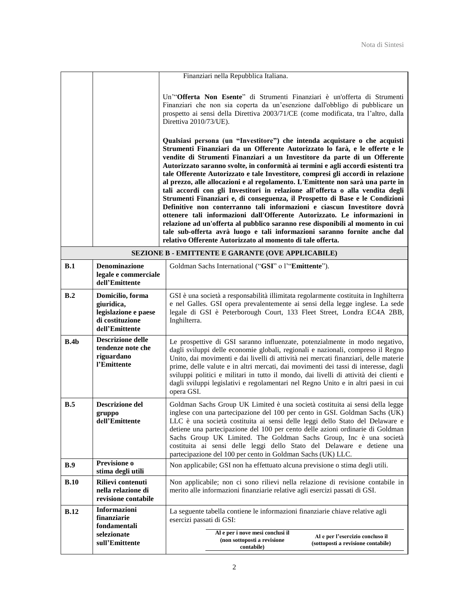|             |                                                                                             | Finanziari nella Repubblica Italiana.                                                                                                                                                                                                                                                                                                                                                                                                                                                                                                                                                                                                                                                                                                                                                                                                                                                                                                                                                                                                                                                                                                                                                                                                                                                                                                  |  |  |
|-------------|---------------------------------------------------------------------------------------------|----------------------------------------------------------------------------------------------------------------------------------------------------------------------------------------------------------------------------------------------------------------------------------------------------------------------------------------------------------------------------------------------------------------------------------------------------------------------------------------------------------------------------------------------------------------------------------------------------------------------------------------------------------------------------------------------------------------------------------------------------------------------------------------------------------------------------------------------------------------------------------------------------------------------------------------------------------------------------------------------------------------------------------------------------------------------------------------------------------------------------------------------------------------------------------------------------------------------------------------------------------------------------------------------------------------------------------------|--|--|
|             |                                                                                             | Un"Offerta Non Esente" di Strumenti Finanziari è un'offerta di Strumenti<br>Finanziari che non sia coperta da un'esenzione dall'obbligo di pubblicare un<br>prospetto ai sensi della Direttiva 2003/71/CE (come modificata, tra l'altro, dalla<br>Direttiva 2010/73/UE).<br>Qualsiasi persona (un "Investitore") che intenda acquistare o che acquisti<br>Strumenti Finanziari da un Offerente Autorizzato lo farà, e le offerte e le<br>vendite di Strumenti Finanziari a un Investitore da parte di un Offerente<br>Autorizzato saranno svolte, in conformità ai termini e agli accordi esistenti tra<br>tale Offerente Autorizzato e tale Investitore, compresi gli accordi in relazione<br>al prezzo, alle allocazioni e al regolamento. L'Emittente non sarà una parte in<br>tali accordi con gli Investitori in relazione all'offerta o alla vendita degli<br>Strumenti Finanziari e, di conseguenza, il Prospetto di Base e le Condizioni<br>Definitive non conterranno tali informazioni e ciascun Investitore dovrà<br>ottenere tali informazioni dall'Offerente Autorizzato. Le informazioni in<br>relazione ad un'offerta al pubblico saranno rese disponibili al momento in cui<br>tale sub-offerta avrà luogo e tali informazioni saranno fornite anche dal<br>relativo Offerente Autorizzato al momento di tale offerta. |  |  |
|             |                                                                                             | SEZIONE B - EMITTENTE E GARANTE (OVE APPLICABILE)                                                                                                                                                                                                                                                                                                                                                                                                                                                                                                                                                                                                                                                                                                                                                                                                                                                                                                                                                                                                                                                                                                                                                                                                                                                                                      |  |  |
| B.1         | <b>Denominazione</b><br>legale e commerciale<br>dell'Emittente                              | Goldman Sachs International ("GSI" o l'"Emittente").                                                                                                                                                                                                                                                                                                                                                                                                                                                                                                                                                                                                                                                                                                                                                                                                                                                                                                                                                                                                                                                                                                                                                                                                                                                                                   |  |  |
| B.2         | Domicilio, forma<br>giuridica,<br>legislazione e paese<br>di costituzione<br>dell'Emittente | GSI è una società a responsabilità illimitata regolarmente costituita in Inghilterra<br>e nel Galles. GSI opera prevalentemente ai sensi della legge inglese. La sede<br>legale di GSI è Peterborough Court, 133 Fleet Street, Londra EC4A 2BB,<br>Inghilterra.                                                                                                                                                                                                                                                                                                                                                                                                                                                                                                                                                                                                                                                                                                                                                                                                                                                                                                                                                                                                                                                                        |  |  |
| B.4b        | <b>Descrizione delle</b><br>tendenze note che<br>riguardano<br>l'Emittente                  | Le prospettive di GSI saranno influenzate, potenzialmente in modo negativo,<br>dagli sviluppi delle economie globali, regionali e nazionali, compreso il Regno<br>Unito, dai movimenti e dai livelli di attività nei mercati finanziari, delle materie<br>prime, delle valute e in altri mercati, dai movimenti dei tassi di interesse, dagli<br>sviluppi politici e militari in tutto il mondo, dai livelli di attività dei clienti e<br>dagli sviluppi legislativi e regolamentari nel Regno Unito e in altri paesi in cui<br>opera GSI.                                                                                                                                                                                                                                                                                                                                                                                                                                                                                                                                                                                                                                                                                                                                                                                             |  |  |
| B.5         | <b>Descrizione del</b><br>gruppo<br>dell'Emittente                                          | Goldman Sachs Group UK Limited è una società costituita ai sensi della legge<br>inglese con una partecipazione del 100 per cento in GSI. Goldman Sachs (UK)<br>LLC è una società costituita ai sensi delle leggi dello Stato del Delaware e<br>detiene una partecipazione del 100 per cento delle azioni ordinarie di Goldman<br>Sachs Group UK Limited. The Goldman Sachs Group, Inc è una società<br>costituita ai sensi delle leggi dello Stato del Delaware e detiene una<br>partecipazione del 100 per cento in Goldman Sachs (UK) LLC.                                                                                                                                                                                                                                                                                                                                                                                                                                                                                                                                                                                                                                                                                                                                                                                           |  |  |
| B.9         | Previsione o<br>stima degli utili                                                           | Non applicabile; GSI non ha effettuato alcuna previsione o stima degli utili.                                                                                                                                                                                                                                                                                                                                                                                                                                                                                                                                                                                                                                                                                                                                                                                                                                                                                                                                                                                                                                                                                                                                                                                                                                                          |  |  |
| <b>B.10</b> | Rilievi contenuti<br>nella relazione di<br>revisione contabile                              | Non applicabile; non ci sono rilievi nella relazione di revisione contabile in<br>merito alle informazioni finanziarie relative agli esercizi passati di GSI.                                                                                                                                                                                                                                                                                                                                                                                                                                                                                                                                                                                                                                                                                                                                                                                                                                                                                                                                                                                                                                                                                                                                                                          |  |  |
| <b>B.12</b> | Informazioni<br>finanziarie<br>fondamentali<br>selezionate<br>sull'Emittente                | La seguente tabella contiene le informazioni finanziarie chiave relative agli<br>esercizi passati di GSI:<br>Al e per i nove mesi conclusi il<br>Al e per l'esercizio concluso il<br>(non sottoposti a revisione<br>(sottoposti a revisione contabile)<br>contabile)                                                                                                                                                                                                                                                                                                                                                                                                                                                                                                                                                                                                                                                                                                                                                                                                                                                                                                                                                                                                                                                                   |  |  |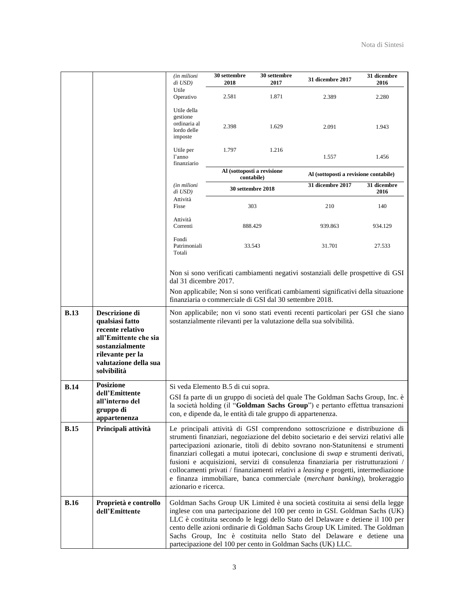|             |                                                                                                                                                               | <i>(in milioni</i><br>di USD)                                                                                                                                                                                                                                                                                                                                                                                                                                                                                                                                                                                              | 30 settembre<br>2018                                                                                                                                                                                                                                       | 30 settembre<br>2017                     | <b>31 dicembre 2017</b>                                                                                                                                                                                                                                                                                                                                                                                                                                              | 31 dicembre<br>2016                   |  |
|-------------|---------------------------------------------------------------------------------------------------------------------------------------------------------------|----------------------------------------------------------------------------------------------------------------------------------------------------------------------------------------------------------------------------------------------------------------------------------------------------------------------------------------------------------------------------------------------------------------------------------------------------------------------------------------------------------------------------------------------------------------------------------------------------------------------------|------------------------------------------------------------------------------------------------------------------------------------------------------------------------------------------------------------------------------------------------------------|------------------------------------------|----------------------------------------------------------------------------------------------------------------------------------------------------------------------------------------------------------------------------------------------------------------------------------------------------------------------------------------------------------------------------------------------------------------------------------------------------------------------|---------------------------------------|--|
|             |                                                                                                                                                               | Utile<br>Operativo                                                                                                                                                                                                                                                                                                                                                                                                                                                                                                                                                                                                         | 2.581                                                                                                                                                                                                                                                      | 1.871                                    | 2.389                                                                                                                                                                                                                                                                                                                                                                                                                                                                | 2.280                                 |  |
|             |                                                                                                                                                               | Utile della<br>gestione<br>ordinaria al<br>lordo delle<br>imposte                                                                                                                                                                                                                                                                                                                                                                                                                                                                                                                                                          | 2.398                                                                                                                                                                                                                                                      | 1.629                                    | 2.091                                                                                                                                                                                                                                                                                                                                                                                                                                                                | 1.943                                 |  |
|             |                                                                                                                                                               | Utile per<br>l'anno<br>finanziario                                                                                                                                                                                                                                                                                                                                                                                                                                                                                                                                                                                         | 1.797                                                                                                                                                                                                                                                      | 1.216                                    | 1.557                                                                                                                                                                                                                                                                                                                                                                                                                                                                | 1.456                                 |  |
|             |                                                                                                                                                               |                                                                                                                                                                                                                                                                                                                                                                                                                                                                                                                                                                                                                            |                                                                                                                                                                                                                                                            | Al (sottoposti a revisione<br>contabile) |                                                                                                                                                                                                                                                                                                                                                                                                                                                                      | Al (sottoposti a revisione contabile) |  |
|             |                                                                                                                                                               | <i>(in milioni</i> )<br>di USD)                                                                                                                                                                                                                                                                                                                                                                                                                                                                                                                                                                                            | 30 settembre 2018                                                                                                                                                                                                                                          |                                          | 31 dicembre 2017                                                                                                                                                                                                                                                                                                                                                                                                                                                     | 31 dicembre<br>2016                   |  |
|             |                                                                                                                                                               | Attività<br>Fisse                                                                                                                                                                                                                                                                                                                                                                                                                                                                                                                                                                                                          |                                                                                                                                                                                                                                                            | 303                                      |                                                                                                                                                                                                                                                                                                                                                                                                                                                                      | 140                                   |  |
|             |                                                                                                                                                               | Attività<br>Correnti                                                                                                                                                                                                                                                                                                                                                                                                                                                                                                                                                                                                       |                                                                                                                                                                                                                                                            | 888.429                                  | 939.863                                                                                                                                                                                                                                                                                                                                                                                                                                                              | 934.129                               |  |
|             |                                                                                                                                                               | Fondi<br>Patrimoniali<br>Totali                                                                                                                                                                                                                                                                                                                                                                                                                                                                                                                                                                                            |                                                                                                                                                                                                                                                            | 33.543                                   | 31.701                                                                                                                                                                                                                                                                                                                                                                                                                                                               | 27.533                                |  |
|             |                                                                                                                                                               |                                                                                                                                                                                                                                                                                                                                                                                                                                                                                                                                                                                                                            | Non si sono verificati cambiamenti negativi sostanziali delle prospettive di GSI<br>dal 31 dicembre 2017.<br>Non applicabile; Non si sono verificati cambiamenti significativi della situazione<br>finanziaria o commerciale di GSI dal 30 settembre 2018. |                                          |                                                                                                                                                                                                                                                                                                                                                                                                                                                                      |                                       |  |
| <b>B.13</b> | Descrizione di<br>qualsiasi fatto<br>recente relativo<br>all'Emittente che sia<br>sostanzialmente<br>rilevante per la<br>valutazione della sua<br>solvibilità | Non applicabile; non vi sono stati eventi recenti particolari per GSI che siano<br>sostanzialmente rilevanti per la valutazione della sua solvibilità.                                                                                                                                                                                                                                                                                                                                                                                                                                                                     |                                                                                                                                                                                                                                                            |                                          |                                                                                                                                                                                                                                                                                                                                                                                                                                                                      |                                       |  |
| <b>B.14</b> | <b>Posizione</b><br>dell'Emittente                                                                                                                            |                                                                                                                                                                                                                                                                                                                                                                                                                                                                                                                                                                                                                            | Si veda Elemento B.5 di cui sopra.                                                                                                                                                                                                                         |                                          |                                                                                                                                                                                                                                                                                                                                                                                                                                                                      |                                       |  |
|             | all'interno del<br>gruppo di<br>appartenenza                                                                                                                  | GSI fa parte di un gruppo di società del quale The Goldman Sachs Group, Inc. è<br>la società holding (il "Goldman Sachs Group") e pertanto effettua transazioni<br>con, e dipende da, le entità di tale gruppo di appartenenza.                                                                                                                                                                                                                                                                                                                                                                                            |                                                                                                                                                                                                                                                            |                                          |                                                                                                                                                                                                                                                                                                                                                                                                                                                                      |                                       |  |
| <b>B.15</b> | Principali attività                                                                                                                                           | Le principali attività di GSI comprendono sottoscrizione e distribuzione di<br>strumenti finanziari, negoziazione del debito societario e dei servizi relativi alle<br>partecipazioni azionarie, titoli di debito sovrano non-Statunitensi e strumenti<br>finanziari collegati a mutui ipotecari, conclusione di swap e strumenti derivati,<br>fusioni e acquisizioni, servizi di consulenza finanziaria per ristrutturazioni /<br>collocamenti privati / finanziamenti relativi a leasing e progetti, intermediazione<br>e finanza immobiliare, banca commerciale (merchant banking), brokeraggio<br>azionario e ricerca. |                                                                                                                                                                                                                                                            |                                          |                                                                                                                                                                                                                                                                                                                                                                                                                                                                      |                                       |  |
| <b>B.16</b> | Proprietà e controllo<br>dell'Emittente                                                                                                                       |                                                                                                                                                                                                                                                                                                                                                                                                                                                                                                                                                                                                                            |                                                                                                                                                                                                                                                            |                                          | Goldman Sachs Group UK Limited è una società costituita ai sensi della legge<br>inglese con una partecipazione del 100 per cento in GSI. Goldman Sachs (UK)<br>LLC è costituita secondo le leggi dello Stato del Delaware e detiene il 100 per<br>cento delle azioni ordinarie di Goldman Sachs Group UK Limited. The Goldman<br>Sachs Group, Inc è costituita nello Stato del Delaware e detiene una<br>partecipazione del 100 per cento in Goldman Sachs (UK) LLC. |                                       |  |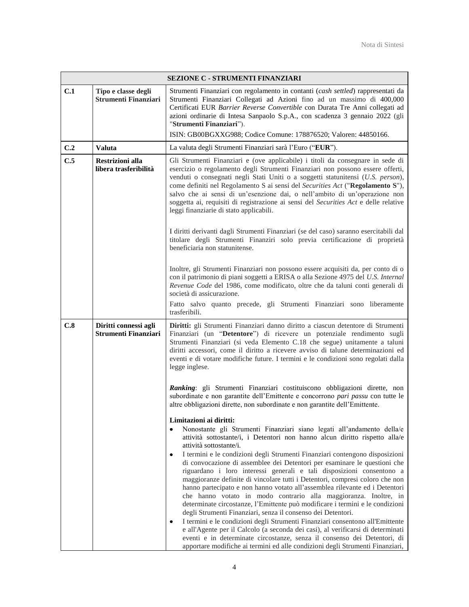|     |                                                      | <b>SEZIONE C - STRUMENTI FINANZIARI</b>                                                                                                                                                                                                                                                                                                                                                                                                                                                                                                                                                                                                                                                                                                                                                                                                                                                                                                                                                                                                                                                                                                                                               |
|-----|------------------------------------------------------|---------------------------------------------------------------------------------------------------------------------------------------------------------------------------------------------------------------------------------------------------------------------------------------------------------------------------------------------------------------------------------------------------------------------------------------------------------------------------------------------------------------------------------------------------------------------------------------------------------------------------------------------------------------------------------------------------------------------------------------------------------------------------------------------------------------------------------------------------------------------------------------------------------------------------------------------------------------------------------------------------------------------------------------------------------------------------------------------------------------------------------------------------------------------------------------|
| C.1 | Tipo e classe degli<br><b>Strumenti Finanziari</b>   | Strumenti Finanziari con regolamento in contanti (cash settled) rappresentati da<br>Strumenti Finanziari Collegati ad Azioni fino ad un massimo di 400,000<br>Certificati EUR Barrier Reverse Convertible con Durata Tre Anni collegati ad<br>azioni ordinarie di Intesa Sanpaolo S.p.A., con scadenza 3 gennaio 2022 (gli<br>"Strumenti Finanziari").<br>ISIN: GB00BGXXG988; Codice Comune: 178876520; Valoren: 44850166.                                                                                                                                                                                                                                                                                                                                                                                                                                                                                                                                                                                                                                                                                                                                                            |
| C.2 | <b>Valuta</b>                                        | La valuta degli Strumenti Finanziari sarà l'Euro ("EUR").                                                                                                                                                                                                                                                                                                                                                                                                                                                                                                                                                                                                                                                                                                                                                                                                                                                                                                                                                                                                                                                                                                                             |
| C.5 | <b>Restrizioni alla</b><br>libera trasferibilità     | Gli Strumenti Finanziari e (ove applicabile) i titoli da consegnare in sede di<br>esercizio o regolamento degli Strumenti Finanziari non possono essere offerti,<br>venduti o consegnati negli Stati Uniti o a soggetti statunitensi (U.S. person),<br>come definiti nel Regolamento S ai sensi del Securities Act ("Regolamento S"),<br>salvo che ai sensi di un'esenzione dai, o nell'ambito di un'operazione non<br>soggetta ai, requisiti di registrazione ai sensi del Securities Act e delle relative<br>leggi finanziarie di stato applicabili.                                                                                                                                                                                                                                                                                                                                                                                                                                                                                                                                                                                                                                |
|     |                                                      | I diritti derivanti dagli Strumenti Finanziari (se del caso) saranno esercitabili dal<br>titolare degli Strumenti Finanziri solo previa certificazione di proprietà<br>beneficiaria non statunitense.                                                                                                                                                                                                                                                                                                                                                                                                                                                                                                                                                                                                                                                                                                                                                                                                                                                                                                                                                                                 |
|     |                                                      | Inoltre, gli Strumenti Finanziari non possono essere acquisiti da, per conto di o<br>con il patrimonio di piani soggetti a ERISA o alla Sezione 4975 del U.S. Internal<br>Revenue Code del 1986, come modificato, oltre che da taluni conti generali di<br>società di assicurazione.                                                                                                                                                                                                                                                                                                                                                                                                                                                                                                                                                                                                                                                                                                                                                                                                                                                                                                  |
|     |                                                      | Fatto salvo quanto precede, gli Strumenti Finanziari sono liberamente<br>trasferibili.                                                                                                                                                                                                                                                                                                                                                                                                                                                                                                                                                                                                                                                                                                                                                                                                                                                                                                                                                                                                                                                                                                |
| C.8 | Diritti connessi agli<br><b>Strumenti Finanziari</b> | Diritti: gli Strumenti Finanziari danno diritto a ciascun detentore di Strumenti<br>Finanziari (un "Detentore") di ricevere un potenziale rendimento sugli<br>Strumenti Finanziari (si veda Elemento C.18 che segue) unitamente a taluni<br>diritti accessori, come il diritto a ricevere avviso di talune determinazioni ed<br>eventi e di votare modifiche future. I termini e le condizioni sono regolati dalla<br>legge inglese.                                                                                                                                                                                                                                                                                                                                                                                                                                                                                                                                                                                                                                                                                                                                                  |
|     |                                                      | Ranking: gli Strumenti Finanziari costituiscono obbligazioni dirette, non<br>subordinate e non garantite dell'Emittente e concorrono pari passu con tutte le<br>altre obbligazioni dirette, non subordinate e non garantite dell'Emittente.                                                                                                                                                                                                                                                                                                                                                                                                                                                                                                                                                                                                                                                                                                                                                                                                                                                                                                                                           |
|     |                                                      | Limitazioni ai diritti:<br>Nonostante gli Strumenti Finanziari siano legati all'andamento della/e<br>٠<br>attività sottostante/i, i Detentori non hanno alcun diritto rispetto alla/e<br>attività sottostante/i.<br>I termini e le condizioni degli Strumenti Finanziari contengono disposizioni<br>٠<br>di convocazione di assemblee dei Detentori per esaminare le questioni che<br>riguardano i loro interessi generali e tali disposizioni consentono a<br>maggioranze definite di vincolare tutti i Detentori, compresi coloro che non<br>hanno partecipato e non hanno votato all'assemblea rilevante ed i Detentori<br>che hanno votato in modo contrario alla maggioranza. Inoltre, in<br>determinate circostanze, l'Emittente può modificare i termini e le condizioni<br>degli Strumenti Finanziari, senza il consenso dei Detentori.<br>I termini e le condizioni degli Strumenti Finanziari consentono all'Emittente<br>٠<br>e all'Agente per il Calcolo (a seconda dei casi), al verificarsi di determinati<br>eventi e in determinate circostanze, senza il consenso dei Detentori, di<br>apportare modifiche ai termini ed alle condizioni degli Strumenti Finanziari, |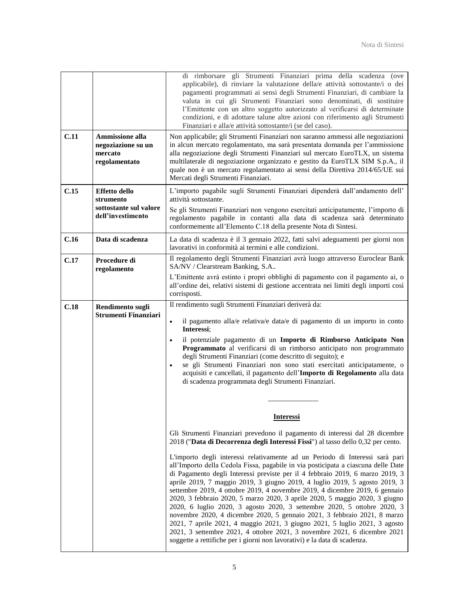|      |                                                                                  | di rimborsare gli Strumenti Finanziari prima della scadenza (ove<br>applicabile), di rinviare la valutazione della/e attività sottostante/i o dei<br>pagamenti programmati ai sensi degli Strumenti Finanziari, di cambiare la<br>valuta in cui gli Strumenti Finanziari sono denominati, di sostituire<br>l'Emittente con un altro soggetto autorizzato al verificarsi di determinate<br>condizioni, e di adottare talune altre azioni con riferimento agli Strumenti<br>Finanziari e alla/e attività sottostante/i (se del caso).                                                                                                                                                                                                                                                                                                                                                          |
|------|----------------------------------------------------------------------------------|----------------------------------------------------------------------------------------------------------------------------------------------------------------------------------------------------------------------------------------------------------------------------------------------------------------------------------------------------------------------------------------------------------------------------------------------------------------------------------------------------------------------------------------------------------------------------------------------------------------------------------------------------------------------------------------------------------------------------------------------------------------------------------------------------------------------------------------------------------------------------------------------|
| C.11 | Ammissione alla<br>negoziazione su un<br>mercato<br>regolamentato                | Non applicabile; gli Strumenti Finanziari non saranno ammessi alle negoziazioni<br>in alcun mercato regolamentato, ma sarà presentata domanda per l'ammissione<br>alla negoziazione degli Strumenti Finanziari sul mercato EuroTLX, un sistema<br>multilaterale di negoziazione organizzato e gestito da EuroTLX SIM S.p.A., il<br>quale non è un mercato regolamentato ai sensi della Direttiva 2014/65/UE sui<br>Mercati degli Strumenti Finanziari.                                                                                                                                                                                                                                                                                                                                                                                                                                       |
| C.15 | <b>Effetto dello</b><br>strumento<br>sottostante sul valore<br>dell'investimento | L'importo pagabile sugli Strumenti Finanziari dipenderà dall'andamento dell'<br>attività sottostante.<br>Se gli Strumenti Finanziari non vengono esercitati anticipatamente, l'importo di<br>regolamento pagabile in contanti alla data di scadenza sarà determinato<br>conformemente all'Elemento C.18 della presente Nota di Sintesi.                                                                                                                                                                                                                                                                                                                                                                                                                                                                                                                                                      |
| C.16 | Data di scadenza                                                                 | La data di scadenza è il 3 gennaio 2022, fatti salvi adeguamenti per giorni non<br>lavorativi in conformità ai termini e alle condizioni.                                                                                                                                                                                                                                                                                                                                                                                                                                                                                                                                                                                                                                                                                                                                                    |
| C.17 | Procedure di<br>regolamento                                                      | Il regolamento degli Strumenti Finanziari avrà luogo attraverso Euroclear Bank<br>SA/NV / Clearstream Banking, S.A<br>L'Emittente avrà estinto i propri obblighi di pagamento con il pagamento ai, o<br>all'ordine dei, relativi sistemi di gestione accentrata nei limiti degli importi così<br>corrisposti.                                                                                                                                                                                                                                                                                                                                                                                                                                                                                                                                                                                |
| C.18 | Rendimento sugli<br>Strumenti Finanziari                                         | Il rendimento sugli Strumenti Finanziari deriverà da:<br>il pagamento alla/e relativa/e data/e di pagamento di un importo in conto<br>$\bullet$<br>Interessi:<br>il potenziale pagamento di un Importo di Rimborso Anticipato Non<br>$\bullet$<br>Programmato al verificarsi di un rimborso anticipato non programmato<br>degli Strumenti Finanziari (come descritto di seguito); e<br>se gli Strumenti Finanziari non sono stati esercitati anticipatamente, o<br>$\bullet$<br>acquisiti e cancellati, il pagamento dell'Importo di Regolamento alla data<br>di scadenza programmata degli Strumenti Finanziari.                                                                                                                                                                                                                                                                            |
|      |                                                                                  | <b>Interessi</b>                                                                                                                                                                                                                                                                                                                                                                                                                                                                                                                                                                                                                                                                                                                                                                                                                                                                             |
|      |                                                                                  | Gli Strumenti Finanziari prevedono il pagamento di interessi dal 28 dicembre<br>2018 ("Data di Decorrenza degli Interessi Fissi") al tasso dello 0,32 per cento.                                                                                                                                                                                                                                                                                                                                                                                                                                                                                                                                                                                                                                                                                                                             |
|      |                                                                                  | L'importo degli interessi relativamente ad un Periodo di Interessi sarà pari<br>all'Importo della Cedola Fissa, pagabile in via posticipata a ciascuna delle Date<br>di Pagamento degli Interessi previste per il 4 febbraio 2019, 6 marzo 2019, 3<br>aprile 2019, 7 maggio 2019, 3 giugno 2019, 4 luglio 2019, 5 agosto 2019, 3<br>settembre 2019, 4 ottobre 2019, 4 novembre 2019, 4 dicembre 2019, 6 gennaio<br>2020, 3 febbraio 2020, 5 marzo 2020, 3 aprile 2020, 5 maggio 2020, 3 giugno<br>2020, 6 luglio 2020, 3 agosto 2020, 3 settembre 2020, 5 ottobre 2020, 3<br>novembre 2020, 4 dicembre 2020, 5 gennaio 2021, 3 febbraio 2021, 8 marzo<br>2021, 7 aprile 2021, 4 maggio 2021, 3 giugno 2021, 5 luglio 2021, 3 agosto<br>2021, 3 settembre 2021, 4 ottobre 2021, 3 novembre 2021, 6 dicembre 2021<br>soggette a rettifiche per i giorni non lavorativi) e la data di scadenza. |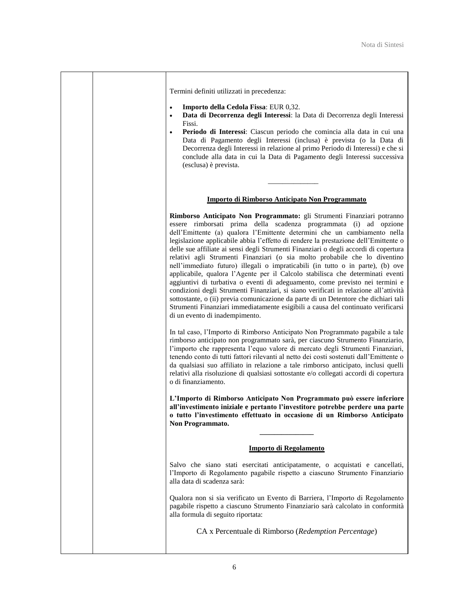Termini definiti utilizzati in precedenza:

- ( **Importo della Cedola Fissa**: EUR 0,32.
- ( **Data di Decorrenza degli Interessi**: la Data di Decorrenza degli Interessi Fissi.
- ( **Periodo di Interessi**: Ciascun periodo che comincia alla data in cui una Data di Pagamento degli Interessi (inclusa) è prevista (o la Data di Decorrenza degli Interessi in relazione al primo Periodo di Interessi) e che si conclude alla data in cui la Data di Pagamento degli Interessi successiva (esclusa) è prevista.

### **Importo di Rimborso Anticipato Non Programmato**

\_\_\_\_\_\_\_\_\_\_\_\_\_\_

**Rimborso Anticipato Non Programmato:** gli Strumenti Finanziari potranno essere rimborsati prima della scadenza programmata (i) ad opzione dell'Emittente (a) qualora l'Emittente determini che un cambiamento nella legislazione applicabile abbia l'effetto di rendere la prestazione dell'Emittente o delle sue affiliate ai sensi degli Strumenti Finanziari o degli accordi di copertura relativi agli Strumenti Finanziari (o sia molto probabile che lo diventino nell'immediato futuro) illegali o impraticabili (in tutto o in parte), (b) ove applicabile, qualora l'Agente per il Calcolo stabilisca che determinati eventi aggiuntivi di turbativa o eventi di adeguamento, come previsto nei termini e condizioni degli Strumenti Finanziari, si siano verificati in relazione all'attività sottostante, o (ii) previa comunicazione da parte di un Detentore che dichiari tali Strumenti Finanziari immediatamente esigibili a causa del continuato verificarsi di un evento di inadempimento.

In tal caso, l'Importo di Rimborso Anticipato Non Programmato pagabile a tale rimborso anticipato non programmato sarà, per ciascuno Strumento Finanziario, l'importo che rappresenta l'equo valore di mercato degli Strumenti Finanziari, tenendo conto di tutti fattori rilevanti al netto dei costi sostenuti dall'Emittente o da qualsiasi suo affiliato in relazione a tale rimborso anticipato, inclusi quelli relativi alla risoluzione di qualsiasi sottostante e/o collegati accordi di copertura o di finanziamento.

 $L'$ Importo di Rimborso Anticipato Non Programmato può essere inferiore all'investimento iniziale e pertanto l'investitore potrebbe perdere una parte o tutto l'investimento effettuato in occasione di un Rimborso Anticipato **Non Programmato.** 

#### **Importo di Regolamento**

**\_\_\_\_\_\_\_\_\_\_\_\_\_\_\_** 

Salvo che siano stati esercitati anticipatamente, o acquistati e cancellati, l'Importo di Regolamento pagabile rispetto a ciascuno Strumento Finanziario alla data di scadenza sarà:

Qualora non si sia verificato un Evento di Barriera, l'Importo di Regolamento pagabile rispetto a ciascuno Strumento Finanziario sarà calcolato in conformità alla formula di seguito riportata:

CA x Percentuale di Rimborso (*Redemption Percentage*)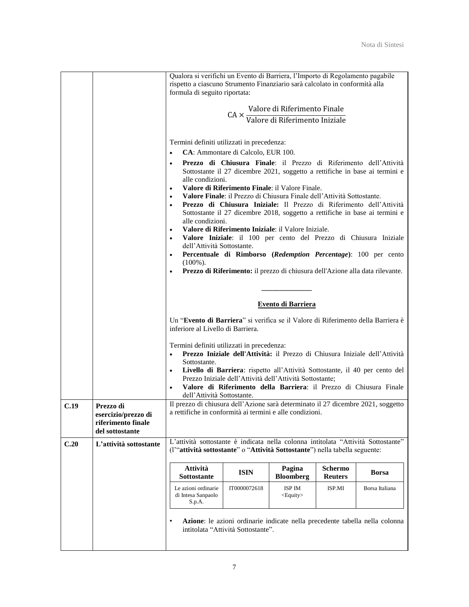|      |                                                                           | Qualora si verifichi un Evento di Barriera, l'Importo di Regolamento pagabile<br>rispetto a ciascuno Strumento Finanziario sarà calcolato in conformità alla<br>formula di seguito riportata:                                                                                                                                                                                                                                                                                                                                                                                                                 |                                                                                                                                                                                                                          |                                                                                               |                           |                                                                             |  |
|------|---------------------------------------------------------------------------|---------------------------------------------------------------------------------------------------------------------------------------------------------------------------------------------------------------------------------------------------------------------------------------------------------------------------------------------------------------------------------------------------------------------------------------------------------------------------------------------------------------------------------------------------------------------------------------------------------------|--------------------------------------------------------------------------------------------------------------------------------------------------------------------------------------------------------------------------|-----------------------------------------------------------------------------------------------|---------------------------|-----------------------------------------------------------------------------|--|
|      |                                                                           |                                                                                                                                                                                                                                                                                                                                                                                                                                                                                                                                                                                                               |                                                                                                                                                                                                                          | $CA \times \frac{\text{Valore di Riferimento Finale}}{\text{Valore di Riferimento Iniziale}}$ |                           |                                                                             |  |
|      |                                                                           |                                                                                                                                                                                                                                                                                                                                                                                                                                                                                                                                                                                                               |                                                                                                                                                                                                                          |                                                                                               |                           |                                                                             |  |
|      |                                                                           | Termini definiti utilizzati in precedenza:<br>CA: Ammontare di Calcolo, EUR 100.<br>$\bullet$<br><b>Prezzo di Chiusura Finale:</b> il Prezzo di Riferimento dell'Attività<br>Sottostante il 27 dicembre 2021, soggetto a rettifiche in base ai termini e<br>alle condizioni.<br>Valore di Riferimento Finale: il Valore Finale.<br>$\bullet$<br>Valore Finale: il Prezzo di Chiusura Finale dell'Attività Sottostante.<br>$\bullet$<br>Prezzo di Chiusura Iniziale: Il Prezzo di Riferimento dell'Attività<br>Sottostante il 27 dicembre 2018, soggetto a rettifiche in base ai termini e<br>alle condizioni. |                                                                                                                                                                                                                          |                                                                                               |                           |                                                                             |  |
|      |                                                                           | $\bullet$                                                                                                                                                                                                                                                                                                                                                                                                                                                                                                                                                                                                     | Valore di Riferimento Iniziale: il Valore Iniziale.<br>Valore Iniziale: il 100 per cento del Prezzo di Chiusura Iniziale<br>dell'Attività Sottostante.<br>Percentuale di Rimborso (Redemption Percentage): 100 per cento |                                                                                               |                           |                                                                             |  |
|      |                                                                           | $(100\%)$ .                                                                                                                                                                                                                                                                                                                                                                                                                                                                                                                                                                                                   | Prezzo di Riferimento: il prezzo di chiusura dell'Azione alla data rilevante.                                                                                                                                            |                                                                                               |                           |                                                                             |  |
|      |                                                                           |                                                                                                                                                                                                                                                                                                                                                                                                                                                                                                                                                                                                               |                                                                                                                                                                                                                          | Evento di Barriera                                                                            |                           |                                                                             |  |
|      |                                                                           | Un "Evento di Barriera" si verifica se il Valore di Riferimento della Barriera è<br>inferiore al Livello di Barriera.                                                                                                                                                                                                                                                                                                                                                                                                                                                                                         |                                                                                                                                                                                                                          |                                                                                               |                           |                                                                             |  |
|      |                                                                           | Termini definiti utilizzati in precedenza:<br>Prezzo Iniziale dell'Attività: il Prezzo di Chiusura Iniziale dell'Attività<br>$\bullet$<br>Sottostante.<br>Livello di Barriera: rispetto all'Attività Sottostante, il 40 per cento del<br>$\bullet$<br>Prezzo Iniziale dell'Attività dell'Attività Sottostante;<br>Valore di Riferimento della Barriera: il Prezzo di Chiusura Finale<br>dell'Attività Sottostante.                                                                                                                                                                                            |                                                                                                                                                                                                                          |                                                                                               |                           |                                                                             |  |
| C.19 | Prezzo di<br>esercizio/prezzo di<br>riferimento finale<br>del sottostante | Il prezzo di chiusura dell'Azione sarà determinato il 27 dicembre 2021, soggetto<br>a rettifiche in conformità ai termini e alle condizioni.                                                                                                                                                                                                                                                                                                                                                                                                                                                                  |                                                                                                                                                                                                                          |                                                                                               |                           |                                                                             |  |
| C.20 | L'attività sottostante                                                    | L'attività sottostante è indicata nella colonna intitolata "Attività Sottostante"<br>(l'"attività sottostante" o "Attività Sottostante") nella tabella seguente:                                                                                                                                                                                                                                                                                                                                                                                                                                              |                                                                                                                                                                                                                          |                                                                                               |                           |                                                                             |  |
|      |                                                                           | <b>Attività</b><br><b>Sottostante</b>                                                                                                                                                                                                                                                                                                                                                                                                                                                                                                                                                                         | <b>ISIN</b>                                                                                                                                                                                                              | Pagina<br><b>Bloomberg</b>                                                                    | Schermo<br><b>Reuters</b> | <b>Borsa</b>                                                                |  |
|      |                                                                           | Le azioni ordinarie<br>di Intesa Sanpaolo<br>S.p.A.                                                                                                                                                                                                                                                                                                                                                                                                                                                                                                                                                           | IT0000072618                                                                                                                                                                                                             | ISP IM<br><equity></equity>                                                                   | ISP.MI                    | Borsa Italiana                                                              |  |
|      |                                                                           |                                                                                                                                                                                                                                                                                                                                                                                                                                                                                                                                                                                                               | intitolata "Attività Sottostante".                                                                                                                                                                                       |                                                                                               |                           | Azione: le azioni ordinarie indicate nella precedente tabella nella colonna |  |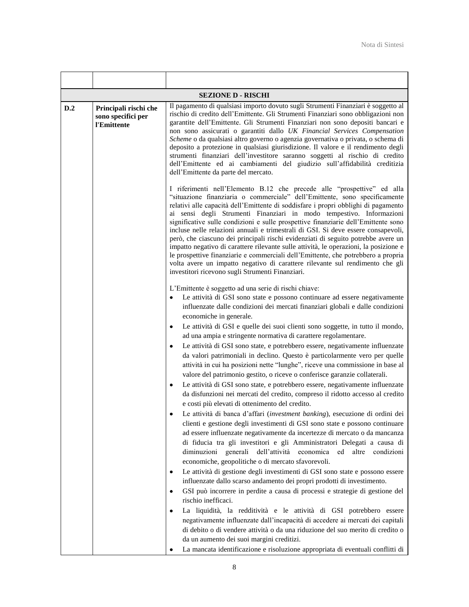|                                                                   |        | <b>SEZIONE D - RISCHI</b>                                                                                                                                                                                                                                                                                                                                                                                                                                                                                                                                                                                                                                                                                                                                                                                                                                                                                                                                                                                                                                                                                                                                                                                                                                                                                                                                                                                                                                                                                                                                                                                                                                                                                                                                                                                                                                                                                                                                                   |  |  |  |
|-------------------------------------------------------------------|--------|-----------------------------------------------------------------------------------------------------------------------------------------------------------------------------------------------------------------------------------------------------------------------------------------------------------------------------------------------------------------------------------------------------------------------------------------------------------------------------------------------------------------------------------------------------------------------------------------------------------------------------------------------------------------------------------------------------------------------------------------------------------------------------------------------------------------------------------------------------------------------------------------------------------------------------------------------------------------------------------------------------------------------------------------------------------------------------------------------------------------------------------------------------------------------------------------------------------------------------------------------------------------------------------------------------------------------------------------------------------------------------------------------------------------------------------------------------------------------------------------------------------------------------------------------------------------------------------------------------------------------------------------------------------------------------------------------------------------------------------------------------------------------------------------------------------------------------------------------------------------------------------------------------------------------------------------------------------------------------|--|--|--|
| D.2<br>Principali rischi che<br>sono specifici per<br>l'Emittente |        | Il pagamento di qualsiasi importo dovuto sugli Strumenti Finanziari è soggetto al<br>rischio di credito dell'Emittente. Gli Strumenti Finanziari sono obbligazioni non<br>garantite dell'Emittente. Gli Strumenti Finanziari non sono depositi bancari e<br>non sono assicurati o garantiti dallo UK Financial Services Compensation<br>Scheme o da qualsiasi altro governo o agenzia governativa o privata, o schema di<br>deposito a protezione in qualsiasi giurisdizione. Il valore e il rendimento degli<br>strumenti finanziari dell'investitore saranno soggetti al rischio di credito<br>dell'Emittente ed ai cambiamenti del giudizio sull'affidabilità creditizia<br>dell'Emittente da parte del mercato.                                                                                                                                                                                                                                                                                                                                                                                                                                                                                                                                                                                                                                                                                                                                                                                                                                                                                                                                                                                                                                                                                                                                                                                                                                                         |  |  |  |
|                                                                   |        | I riferimenti nell'Elemento B.12 che precede alle "prospettive" ed alla<br>"situazione finanziaria o commerciale" dell'Emittente, sono specificamente<br>relativi alle capacità dell'Emittente di soddisfare i propri obblighi di pagamento<br>ai sensi degli Strumenti Finanziari in modo tempestivo. Informazioni<br>significative sulle condizioni e sulle prospettive finanziarie dell'Emittente sono<br>incluse nelle relazioni annuali e trimestrali di GSI. Si deve essere consapevoli,<br>però, che ciascuno dei principali rischi evidenziati di seguito potrebbe avere un<br>impatto negativo di carattere rilevante sulle attività, le operazioni, la posizione e<br>le prospettive finanziarie e commerciali dell'Emittente, che potrebbero a propria<br>volta avere un impatto negativo di carattere rilevante sul rendimento che gli<br>investitori ricevono sugli Strumenti Finanziari.                                                                                                                                                                                                                                                                                                                                                                                                                                                                                                                                                                                                                                                                                                                                                                                                                                                                                                                                                                                                                                                                      |  |  |  |
|                                                                   | ٠<br>٠ | L'Emittente è soggetto ad una serie di rischi chiave:<br>Le attività di GSI sono state e possono continuare ad essere negativamente<br>influenzate dalle condizioni dei mercati finanziari globali e dalle condizioni<br>economiche in generale.<br>Le attività di GSI e quelle dei suoi clienti sono soggette, in tutto il mondo,<br>ad una ampia e stringente normativa di carattere regolamentare.<br>Le attività di GSI sono state, e potrebbero essere, negativamente influenzate<br>da valori patrimoniali in declino. Questo è particolarmente vero per quelle<br>attività in cui ha posizioni nette "lunghe", riceve una commissione in base al<br>valore del patrimonio gestito, o riceve o conferisce garanzie collaterali.<br>Le attività di GSI sono state, e potrebbero essere, negativamente influenzate<br>da disfunzioni nei mercati del credito, compreso il ridotto accesso al credito<br>e costi più elevati di ottenimento del credito.<br>Le attività di banca d'affari (investment banking), esecuzione di ordini dei<br>clienti e gestione degli investimenti di GSI sono state e possono continuare<br>ad essere influenzate negativamente da incertezze di mercato o da mancanza<br>di fiducia tra gli investitori e gli Amministratori Delegati a causa di<br>diminuzioni generali dell'attività economica ed altre<br>condizioni<br>economiche, geopolitiche o di mercato sfavorevoli.<br>Le attività di gestione degli investimenti di GSI sono state e possono essere<br>influenzate dallo scarso andamento dei propri prodotti di investimento.<br>GSI può incorrere in perdite a causa di processi e strategie di gestione del<br>rischio inefficaci.<br>La liquidità, la redditività e le attività di GSI potrebbero essere<br>negativamente influenzate dall'incapacità di accedere ai mercati dei capitali<br>di debito o di vendere attività o da una riduzione del suo merito di credito o<br>da un aumento dei suoi margini creditizi. |  |  |  |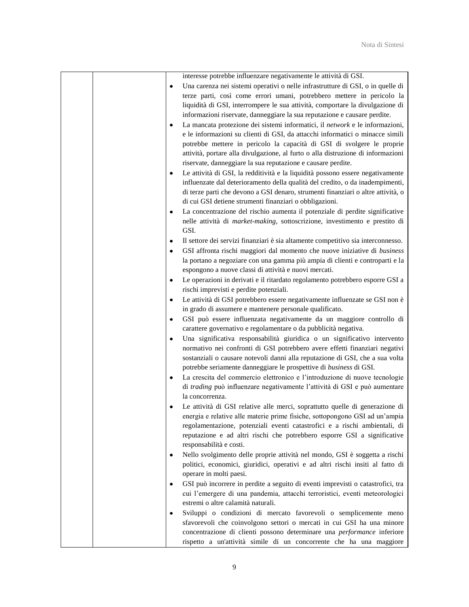|   | interesse potrebbe influenzare negativamente le attività di GSI.                                                                                              |
|---|---------------------------------------------------------------------------------------------------------------------------------------------------------------|
| ٠ | Una carenza nei sistemi operativi o nelle infrastrutture di GSI, o in quelle di                                                                               |
|   | terze parti, così come errori umani, potrebbero mettere in pericolo la                                                                                        |
|   | liquidità di GSI, interrompere le sua attività, comportare la divulgazione di                                                                                 |
|   | informazioni riservate, danneggiare la sua reputazione e causare perdite.                                                                                     |
| ٠ | La mancata protezione dei sistemi informatici, il network e le informazioni,                                                                                  |
|   | e le informazioni su clienti di GSI, da attacchi informatici o minacce simili                                                                                 |
|   | potrebbe mettere in pericolo la capacità di GSI di svolgere le proprie                                                                                        |
|   | attività, portare alla divulgazione, al furto o alla distruzione di informazioni                                                                              |
|   | riservate, danneggiare la sua reputazione e causare perdite.                                                                                                  |
| ٠ | Le attività di GSI, la redditività e la liquidità possono essere negativamente                                                                                |
|   | influenzate dal deterioramento della qualità del credito, o da inadempimenti,                                                                                 |
|   | di terze parti che devono a GSI denaro, strumenti finanziari o altre attività, o                                                                              |
|   | di cui GSI detiene strumenti finanziari o obbligazioni.                                                                                                       |
| ٠ | La concentrazione del rischio aumenta il potenziale di perdite significative                                                                                  |
|   | nelle attività di market-making, sottoscrizione, investimento e prestito di                                                                                   |
|   | GSI.                                                                                                                                                          |
|   | Il settore dei servizi finanziari è sia altamente competitivo sia interconnesso.                                                                              |
| ٠ | GSI affronta rischi maggiori dal momento che nuove iniziative di business                                                                                     |
|   | la portano a negoziare con una gamma più ampia di clienti e controparti e la                                                                                  |
|   | espongono a nuove classi di attività e nuovi mercati.                                                                                                         |
| ٠ | Le operazioni in derivati e il ritardato regolamento potrebbero esporre GSI a                                                                                 |
|   | rischi imprevisti e perdite potenziali.                                                                                                                       |
| ٠ | Le attività di GSI potrebbero essere negativamente influenzate se GSI non è                                                                                   |
|   | in grado di assumere e mantenere personale qualificato.                                                                                                       |
| ٠ | GSI può essere influenzata negativamente da un maggiore controllo di                                                                                          |
|   | carattere governativo e regolamentare o da pubblicità negativa.                                                                                               |
|   | Una significativa responsabilità giuridica o un significativo intervento                                                                                      |
|   | normativo nei confronti di GSI potrebbero avere effetti finanziari negativi                                                                                   |
|   | sostanziali o causare notevoli danni alla reputazione di GSI, che a sua volta                                                                                 |
|   | potrebbe seriamente danneggiare le prospettive di business di GSI.                                                                                            |
| ٠ | La crescita del commercio elettronico e l'introduzione di nuove tecnologie                                                                                    |
|   | di trading può influenzare negativamente l'attività di GSI e può aumentare                                                                                    |
|   | la concorrenza.                                                                                                                                               |
|   | Le attività di GSI relative alle merci, soprattutto quelle di generazione di                                                                                  |
|   | energia e relative alle materie prime fisiche, sottopongono GSI ad un'ampia                                                                                   |
|   | regolamentazione, potenziali eventi catastrofici e a rischi ambientali, di                                                                                    |
|   | reputazione e ad altri rischi che potrebbero esporre GSI a significative                                                                                      |
|   | responsabilità e costi.                                                                                                                                       |
| ٠ | Nello svolgimento delle proprie attività nel mondo, GSI è soggetta a rischi<br>politici, economici, giuridici, operativi e ad altri rischi insiti al fatto di |
|   | operare in molti paesi.                                                                                                                                       |
| ٠ | GSI può incorrere in perdite a seguito di eventi imprevisti o catastrofici, tra                                                                               |
|   | cui l'emergere di una pandemia, attacchi terroristici, eventi meteorologici                                                                                   |
|   | estremi o altre calamità naturali.                                                                                                                            |
| ٠ | Sviluppi o condizioni di mercato favorevoli o semplicemente meno                                                                                              |
|   | sfavorevoli che coinvolgono settori o mercati in cui GSI ha una minore                                                                                        |
|   | concentrazione di clienti possono determinare una performance inferiore                                                                                       |
|   | rispetto a un'attività simile di un concorrente che ha una maggiore                                                                                           |
|   |                                                                                                                                                               |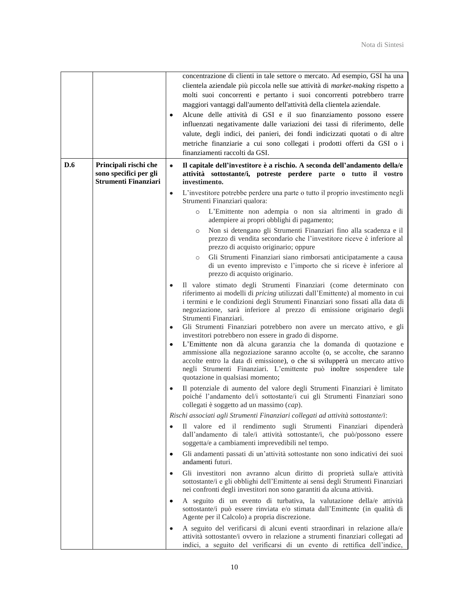|     |                                                                                | ٠         | concentrazione di clienti in tale settore o mercato. Ad esempio, GSI ha una<br>clientela aziendale più piccola nelle sue attività di market-making rispetto a<br>molti suoi concorrenti e pertanto i suoi concorrenti potrebbero trarre<br>maggiori vantaggi dall'aumento dell'attività della clientela aziendale.<br>Alcune delle attività di GSI e il suo finanziamento possono essere<br>influenzati negativamente dalle variazioni dei tassi di riferimento, delle<br>valute, degli indici, dei panieri, dei fondi indicizzati quotati o di altre<br>metriche finanziarie a cui sono collegati i prodotti offerti da GSI o i<br>finanziamenti raccolti da GSI. |
|-----|--------------------------------------------------------------------------------|-----------|--------------------------------------------------------------------------------------------------------------------------------------------------------------------------------------------------------------------------------------------------------------------------------------------------------------------------------------------------------------------------------------------------------------------------------------------------------------------------------------------------------------------------------------------------------------------------------------------------------------------------------------------------------------------|
| D.6 | Principali rischi che<br>sono specifici per gli<br><b>Strumenti Finanziari</b> | ٠         | Il capitale dell'investitore è a rischio. A seconda dell'andamento della/e<br>attività sottostante/i, potreste perdere parte o tutto il vostro<br>investimento.                                                                                                                                                                                                                                                                                                                                                                                                                                                                                                    |
|     |                                                                                | $\bullet$ | L'investitore potrebbe perdere una parte o tutto il proprio investimento negli<br>Strumenti Finanziari qualora:                                                                                                                                                                                                                                                                                                                                                                                                                                                                                                                                                    |
|     |                                                                                |           | L'Emittente non adempia o non sia altrimenti in grado di<br>$\circ$<br>adempiere ai propri obblighi di pagamento;                                                                                                                                                                                                                                                                                                                                                                                                                                                                                                                                                  |
|     |                                                                                |           | Non si detengano gli Strumenti Finanziari fino alla scadenza e il<br>$\circ$<br>prezzo di vendita secondario che l'investitore riceve è inferiore al<br>prezzo di acquisto originario; oppure                                                                                                                                                                                                                                                                                                                                                                                                                                                                      |
|     |                                                                                |           | Gli Strumenti Finanziari siano rimborsati anticipatamente a causa<br>$\circ$<br>di un evento imprevisto e l'importo che si riceve è inferiore al<br>prezzo di acquisto originario.                                                                                                                                                                                                                                                                                                                                                                                                                                                                                 |
|     |                                                                                |           | Il valore stimato degli Strumenti Finanziari (come determinato con<br>riferimento ai modelli di pricing utilizzati dall'Emittente) al momento in cui<br>i termini e le condizioni degli Strumenti Finanziari sono fissati alla data di<br>negoziazione, sarà inferiore al prezzo di emissione originario degli<br>Strumenti Finanziari.                                                                                                                                                                                                                                                                                                                            |
|     |                                                                                | ٠         | Gli Strumenti Finanziari potrebbero non avere un mercato attivo, e gli<br>investitori potrebbero non essere in grado di disporne.<br>L'Emittente non dà alcuna garanzia che la domanda di quotazione e<br>ammissione alla negoziazione saranno accolte (o, se accolte, che saranno<br>accolte entro la data di emissione), o che si svilupperà un mercato attivo<br>negli Strumenti Finanziari. L'emittente può inoltre sospendere tale<br>quotazione in qualsiasi momento;                                                                                                                                                                                        |
|     |                                                                                |           | Il potenziale di aumento del valore degli Strumenti Finanziari è limitato<br>poiché l'andamento del/i sottostante/i cui gli Strumenti Finanziari sono<br>collegati è soggetto ad un massimo (cap).                                                                                                                                                                                                                                                                                                                                                                                                                                                                 |
|     |                                                                                |           | Rischi associati agli Strumenti Finanziari collegati ad attività sottostante/i:                                                                                                                                                                                                                                                                                                                                                                                                                                                                                                                                                                                    |
|     |                                                                                | ٠         | Il valore ed il rendimento sugli Strumenti Finanziari dipenderà<br>dall'andamento di tale/i attività sottostante/i, che può/possono essere<br>soggetta/e a cambiamenti imprevedibili nel tempo.                                                                                                                                                                                                                                                                                                                                                                                                                                                                    |
|     |                                                                                | ٠         | Gli andamenti passati di un'attività sottostante non sono indicativi dei suoi<br>andamenti futuri.                                                                                                                                                                                                                                                                                                                                                                                                                                                                                                                                                                 |
|     |                                                                                | ٠         | Gli investitori non avranno alcun diritto di proprietà sulla/e attività<br>sottostante/i e gli obblighi dell'Emittente ai sensi degli Strumenti Finanziari<br>nei confronti degli investitori non sono garantiti da alcuna attività.                                                                                                                                                                                                                                                                                                                                                                                                                               |
|     |                                                                                | ٠         | A seguito di un evento di turbativa, la valutazione della/e attività<br>sottostante/i può essere rinviata e/o stimata dall'Emittente (in qualità di<br>Agente per il Calcolo) a propria discrezione.                                                                                                                                                                                                                                                                                                                                                                                                                                                               |
|     |                                                                                |           | A seguito del verificarsi di alcuni eventi straordinari in relazione alla/e<br>attività sottostante/i ovvero in relazione a strumenti finanziari collegati ad<br>indici, a seguito del verificarsi di un evento di rettifica dell'indice,                                                                                                                                                                                                                                                                                                                                                                                                                          |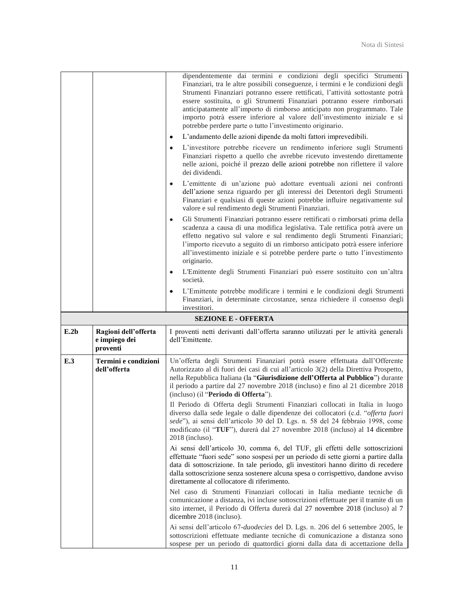|                            |                                                   | dipendentemente dai termini e condizioni degli specifici Strumenti<br>Finanziari, tra le altre possibili conseguenze, i termini e le condizioni degli<br>Strumenti Finanziari potranno essere rettificati, l'attività sottostante potrà<br>essere sostituita, o gli Strumenti Finanziari potranno essere rimborsati<br>anticipatamente all'importo di rimborso anticipato non programmato. Tale<br>importo potrà essere inferiore al valore dell'investimento iniziale e si<br>potrebbe perdere parte o tutto l'investimento originario.<br>L'andamento delle azioni dipende da molti fattori imprevedibili.<br>۰<br>L'investitore potrebbe ricevere un rendimento inferiore sugli Strumenti<br>۰<br>Finanziari rispetto a quello che avrebbe ricevuto investendo direttamente<br>nelle azioni, poiché il prezzo delle azioni potrebbe non riflettere il valore<br>dei dividendi.<br>L'emittente di un'azione può adottare eventuali azioni nei confronti<br>$\bullet$<br>dell'azione senza riguardo per gli interessi dei Detentori degli Strumenti<br>Finanziari e qualsiasi di queste azioni potrebbe influire negativamente sul<br>valore e sul rendimento degli Strumenti Finanziari.<br>Gli Strumenti Finanziari potranno essere rettificati o rimborsati prima della<br>٠<br>scadenza a causa di una modifica legislativa. Tale rettifica potrà avere un<br>effetto negativo sul valore e sul rendimento degli Strumenti Finanziari;<br>l'importo ricevuto a seguito di un rimborso anticipato potrà essere inferiore<br>all'investimento iniziale e si potrebbe perdere parte o tutto l'investimento<br>originario.<br>L'Emittente degli Strumenti Finanziari può essere sostituito con un'altra<br>۰<br>società.<br>L'Emittente potrebbe modificare i termini e le condizioni degli Strumenti<br>Finanziari, in determinate circostanze, senza richiedere il consenso degli |  |
|----------------------------|---------------------------------------------------|--------------------------------------------------------------------------------------------------------------------------------------------------------------------------------------------------------------------------------------------------------------------------------------------------------------------------------------------------------------------------------------------------------------------------------------------------------------------------------------------------------------------------------------------------------------------------------------------------------------------------------------------------------------------------------------------------------------------------------------------------------------------------------------------------------------------------------------------------------------------------------------------------------------------------------------------------------------------------------------------------------------------------------------------------------------------------------------------------------------------------------------------------------------------------------------------------------------------------------------------------------------------------------------------------------------------------------------------------------------------------------------------------------------------------------------------------------------------------------------------------------------------------------------------------------------------------------------------------------------------------------------------------------------------------------------------------------------------------------------------------------------------------------------------------------------------------------------------------------------------------------------|--|
|                            |                                                   | investitori.                                                                                                                                                                                                                                                                                                                                                                                                                                                                                                                                                                                                                                                                                                                                                                                                                                                                                                                                                                                                                                                                                                                                                                                                                                                                                                                                                                                                                                                                                                                                                                                                                                                                                                                                                                                                                                                                         |  |
| <b>SEZIONE E - OFFERTA</b> |                                                   |                                                                                                                                                                                                                                                                                                                                                                                                                                                                                                                                                                                                                                                                                                                                                                                                                                                                                                                                                                                                                                                                                                                                                                                                                                                                                                                                                                                                                                                                                                                                                                                                                                                                                                                                                                                                                                                                                      |  |
|                            |                                                   |                                                                                                                                                                                                                                                                                                                                                                                                                                                                                                                                                                                                                                                                                                                                                                                                                                                                                                                                                                                                                                                                                                                                                                                                                                                                                                                                                                                                                                                                                                                                                                                                                                                                                                                                                                                                                                                                                      |  |
| E.2b                       | Ragioni dell'offerta<br>e impiego dei<br>proventi | I proventi netti derivanti dall'offerta saranno utilizzati per le attività generali<br>dell'Emittente.                                                                                                                                                                                                                                                                                                                                                                                                                                                                                                                                                                                                                                                                                                                                                                                                                                                                                                                                                                                                                                                                                                                                                                                                                                                                                                                                                                                                                                                                                                                                                                                                                                                                                                                                                                               |  |